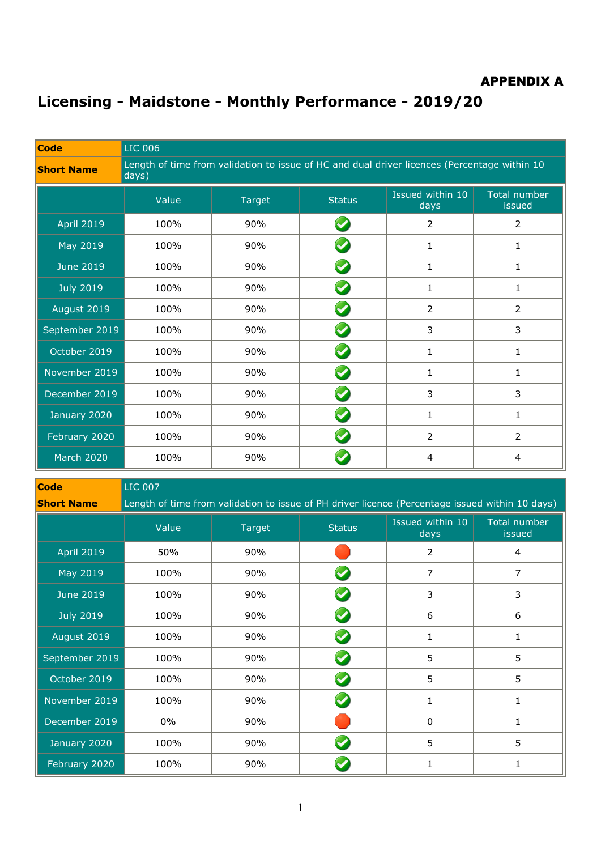#### APPENDIX A

# **Licensing - Maidstone - Monthly Performance - 2019/20**

| Code              | <b>LIC 006</b>                                                                                        |        |                      |                          |                        |  |  |
|-------------------|-------------------------------------------------------------------------------------------------------|--------|----------------------|--------------------------|------------------------|--|--|
| <b>Short Name</b> | Length of time from validation to issue of HC and dual driver licences (Percentage within 10<br>days) |        |                      |                          |                        |  |  |
|                   | Value                                                                                                 | Target | <b>Status</b>        | Issued within 10<br>days | Total number<br>issued |  |  |
| <b>April 2019</b> | 100%                                                                                                  | 90%    |                      | $\overline{2}$           | $\overline{2}$         |  |  |
| May 2019          | 100%                                                                                                  | 90%    |                      | $\mathbf{1}$             | 1                      |  |  |
| <b>June 2019</b>  | 100%                                                                                                  | 90%    | $\blacktriangledown$ | $\mathbf{1}$             | $\mathbf{1}$           |  |  |
| <b>July 2019</b>  | 100%                                                                                                  | 90%    |                      | 1                        | 1                      |  |  |
| August 2019       | 100%                                                                                                  | 90%    |                      | $\overline{2}$           | $\overline{2}$         |  |  |
| September 2019    | 100%                                                                                                  | 90%    |                      | 3                        | 3                      |  |  |
| October 2019      | 100%                                                                                                  | 90%    |                      | $\mathbf{1}$             | $\mathbf{1}$           |  |  |
| November 2019     | 100%                                                                                                  | 90%    |                      | 1                        | 1                      |  |  |
| December 2019     | 100%                                                                                                  | 90%    |                      | 3                        | 3                      |  |  |
| January 2020      | 100%                                                                                                  | 90%    |                      | 1                        | $\mathbf{1}$           |  |  |
| February 2020     | 100%                                                                                                  | 90%    | $\blacktriangledown$ | $\overline{2}$           | $\overline{2}$         |  |  |
| <b>March 2020</b> | 100%                                                                                                  | 90%    |                      | 4                        | 4                      |  |  |

| <b>Code</b>       | <b>LIC 007</b>                                                                                  |        |                      |                          |                        |  |  |  |
|-------------------|-------------------------------------------------------------------------------------------------|--------|----------------------|--------------------------|------------------------|--|--|--|
| <b>Short Name</b> | Length of time from validation to issue of PH driver licence (Percentage issued within 10 days) |        |                      |                          |                        |  |  |  |
|                   | Value                                                                                           | Target | <b>Status</b>        | Issued within 10<br>days | Total number<br>issued |  |  |  |
| <b>April 2019</b> | 50%                                                                                             | 90%    |                      | 2                        | 4                      |  |  |  |
| May 2019          | 100%                                                                                            | 90%    |                      | 7                        | 7                      |  |  |  |
| <b>June 2019</b>  | 100%                                                                                            | 90%    | <b>C</b>             | 3                        | 3                      |  |  |  |
| <b>July 2019</b>  | 100%                                                                                            | 90%    |                      | 6                        | 6                      |  |  |  |
| August 2019       | 100%                                                                                            | 90%    |                      | 1                        | 1                      |  |  |  |
| September 2019    | 100%                                                                                            | 90%    |                      | 5                        | 5                      |  |  |  |
| October 2019      | 100%                                                                                            | 90%    | $\blacktriangledown$ | 5                        | 5                      |  |  |  |
| November 2019     | 100%                                                                                            | 90%    |                      | 1                        | 1                      |  |  |  |
| December 2019     | 0%                                                                                              | 90%    |                      | 0                        | 1                      |  |  |  |
| January 2020      | 100%                                                                                            | 90%    |                      | 5                        | 5                      |  |  |  |
| February 2020     | 100%                                                                                            | 90%    |                      |                          |                        |  |  |  |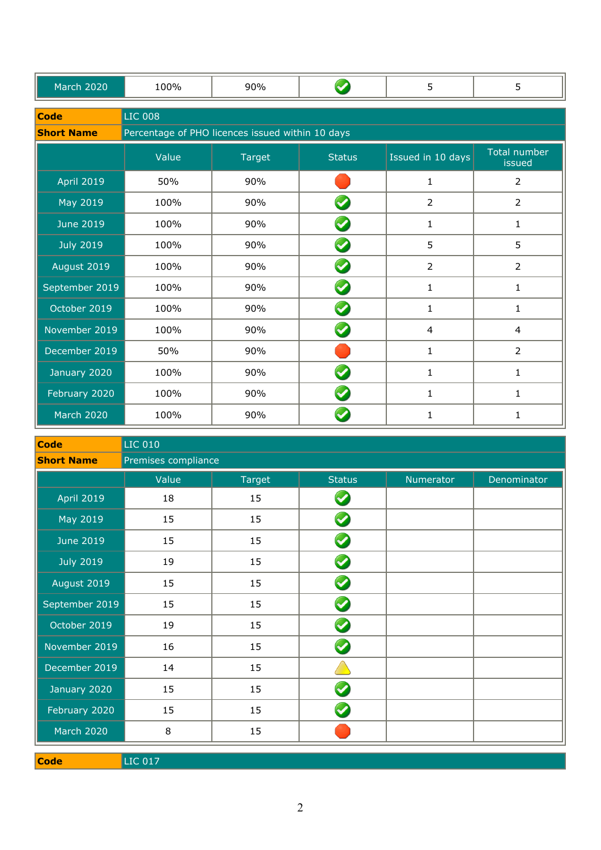| <b>March 2020</b> | 100%                                             | 90%    |                      | 5                 | 5                      |
|-------------------|--------------------------------------------------|--------|----------------------|-------------------|------------------------|
| <b>Code</b>       | <b>LIC 008</b>                                   |        |                      |                   |                        |
| <b>Short Name</b> | Percentage of PHO licences issued within 10 days |        |                      |                   |                        |
|                   | Value                                            | Target | <b>Status</b>        | Issued in 10 days | Total number<br>issued |
| <b>April 2019</b> | 50%                                              | 90%    |                      | $\mathbf{1}$      | $\overline{2}$         |
| May 2019          | 100%                                             | 90%    |                      | $\overline{2}$    | $\overline{2}$         |
| <b>June 2019</b>  | 100%                                             | 90%    |                      | $\mathbf{1}$      | $\mathbf{1}$           |
| <b>July 2019</b>  | 100%                                             | 90%    | $\blacktriangledown$ | 5                 | 5                      |
| August 2019       | 100%                                             | 90%    | $\blacktriangledown$ | $\overline{2}$    | $\overline{2}$         |
| September 2019    | 100%                                             | 90%    |                      | 1                 | 1                      |
| October 2019      | 100%                                             | 90%    |                      | 1                 | $\mathbf{1}$           |
| November 2019     | 100%                                             | 90%    | $\blacktriangledown$ | 4                 | 4                      |
| December 2019     | 50%                                              | 90%    |                      | 1                 | $\overline{2}$         |
| January 2020      | 100%                                             | 90%    |                      | 1                 | 1                      |
| February 2020     | 100%                                             | 90%    |                      | $\mathbf{1}$      | $\mathbf{1}$           |
| <b>March 2020</b> | 100%                                             | 90%    |                      | 1                 | 1                      |

| <b>Code</b>       | <b>LIC 010</b>      |        |                      |           |             |  |  |
|-------------------|---------------------|--------|----------------------|-----------|-------------|--|--|
| <b>Short Name</b> | Premises compliance |        |                      |           |             |  |  |
|                   | Value               | Target | <b>Status</b>        | Numerator | Denominator |  |  |
| <b>April 2019</b> | 18                  | 15     | $\blacktriangledown$ |           |             |  |  |
| May 2019          | 15                  | 15     | $\blacktriangledown$ |           |             |  |  |
| <b>June 2019</b>  | 15                  | 15     | $\blacktriangledown$ |           |             |  |  |
| <b>July 2019</b>  | 19                  | 15     | $\blacktriangledown$ |           |             |  |  |
| August 2019       | 15                  | 15     | $\blacktriangledown$ |           |             |  |  |
| September 2019    | 15                  | 15     | $\blacktriangledown$ |           |             |  |  |
| October 2019      | 19                  | 15     | $\blacktriangledown$ |           |             |  |  |
| November 2019     | 16                  | 15     | $\blacktriangledown$ |           |             |  |  |
| December 2019     | 14                  | 15     |                      |           |             |  |  |
| January 2020      | 15                  | 15     |                      |           |             |  |  |
| February 2020     | 15                  | 15     |                      |           |             |  |  |
| <b>March 2020</b> | 8                   | 15     |                      |           |             |  |  |
|                   |                     |        |                      |           |             |  |  |

**Code** LIC 017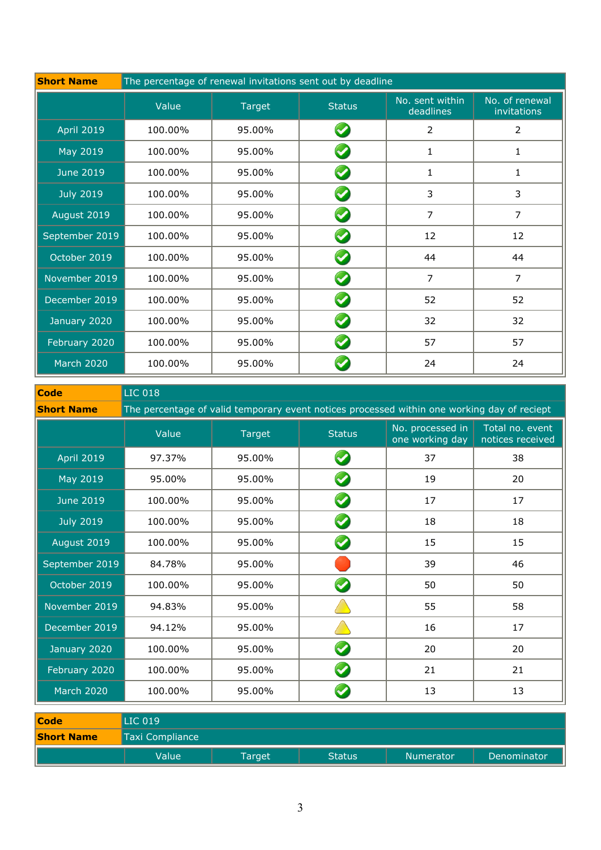| <b>Short Name</b> | The percentage of renewal invitations sent out by deadline |        |                      |                              |                               |  |  |
|-------------------|------------------------------------------------------------|--------|----------------------|------------------------------|-------------------------------|--|--|
|                   | Value                                                      | Target | <b>Status</b>        | No. sent within<br>deadlines | No. of renewal<br>invitations |  |  |
| <b>April 2019</b> | 100.00%                                                    | 95.00% | $\blacktriangledown$ | $\overline{2}$               | $\overline{2}$                |  |  |
| May 2019          | 100.00%                                                    | 95.00% | $\blacktriangledown$ | 1                            | 1                             |  |  |
| <b>June 2019</b>  | 100.00%                                                    | 95.00% |                      | $\mathbf{1}$                 | 1                             |  |  |
| <b>July 2019</b>  | 100.00%                                                    | 95.00% |                      | 3                            | 3                             |  |  |
| August 2019       | 100.00%                                                    | 95.00% |                      | 7                            | 7                             |  |  |
| September 2019    | 100.00%                                                    | 95.00% | $\blacktriangledown$ | 12                           | 12                            |  |  |
| October 2019      | 100.00%                                                    | 95.00% | $\blacktriangledown$ | 44                           | 44                            |  |  |
| November 2019     | 100.00%                                                    | 95.00% |                      | $\overline{7}$               | $\overline{7}$                |  |  |
| December 2019     | 100.00%                                                    | 95.00% | $\blacktriangledown$ | 52                           | 52                            |  |  |
| January 2020      | 100.00%                                                    | 95.00% |                      | 32                           | 32                            |  |  |
| February 2020     | 100.00%                                                    | 95.00% | $\blacktriangledown$ | 57                           | 57                            |  |  |
| <b>March 2020</b> | 100.00%                                                    | 95.00% |                      | 24                           | 24                            |  |  |

| <b>Code</b>       | <b>LIC 018</b>                                                                              |               |                      |                                     |                                     |  |  |  |
|-------------------|---------------------------------------------------------------------------------------------|---------------|----------------------|-------------------------------------|-------------------------------------|--|--|--|
| <b>Short Name</b> | The percentage of valid temporary event notices processed within one working day of reciept |               |                      |                                     |                                     |  |  |  |
|                   | Value                                                                                       | <b>Target</b> | <b>Status</b>        | No. processed in<br>one working day | Total no. event<br>notices received |  |  |  |
| <b>April 2019</b> | 97.37%                                                                                      | 95.00%        |                      | 37                                  | 38                                  |  |  |  |
| May 2019          | 95.00%                                                                                      | 95.00%        | $\blacktriangledown$ | 19                                  | 20                                  |  |  |  |
| <b>June 2019</b>  | 100.00%                                                                                     | 95.00%        | $\blacktriangledown$ | 17                                  | 17                                  |  |  |  |
| <b>July 2019</b>  | 100.00%                                                                                     | 95.00%        |                      | 18                                  | 18                                  |  |  |  |
| August 2019       | 100.00%                                                                                     | 95.00%        | $\blacktriangledown$ | 15                                  | 15                                  |  |  |  |
| September 2019    | 84.78%                                                                                      | 95.00%        |                      | 39                                  | 46                                  |  |  |  |
| October 2019      | 100.00%                                                                                     | 95.00%        |                      | 50                                  | 50                                  |  |  |  |
| November 2019     | 94.83%                                                                                      | 95.00%        |                      | 55                                  | 58                                  |  |  |  |
| December 2019     | 94.12%                                                                                      | 95.00%        |                      | 16                                  | 17                                  |  |  |  |
| January 2020      | 100.00%                                                                                     | 95.00%        | $\blacktriangledown$ | 20                                  | 20                                  |  |  |  |
| February 2020     | 100.00%                                                                                     | 95.00%        |                      | 21                                  | 21                                  |  |  |  |
| <b>March 2020</b> | 100.00%                                                                                     | 95.00%        |                      | 13                                  | 13                                  |  |  |  |

| <b>Code</b>       | $\overline{\text{LIC}}$ 019 |               |         |                  |             |
|-------------------|-----------------------------|---------------|---------|------------------|-------------|
| <b>Short Name</b> | Taxi Compliance             |               |         |                  |             |
|                   | Value                       | <b>Target</b> | 'Status | <b>Numerator</b> | Denominator |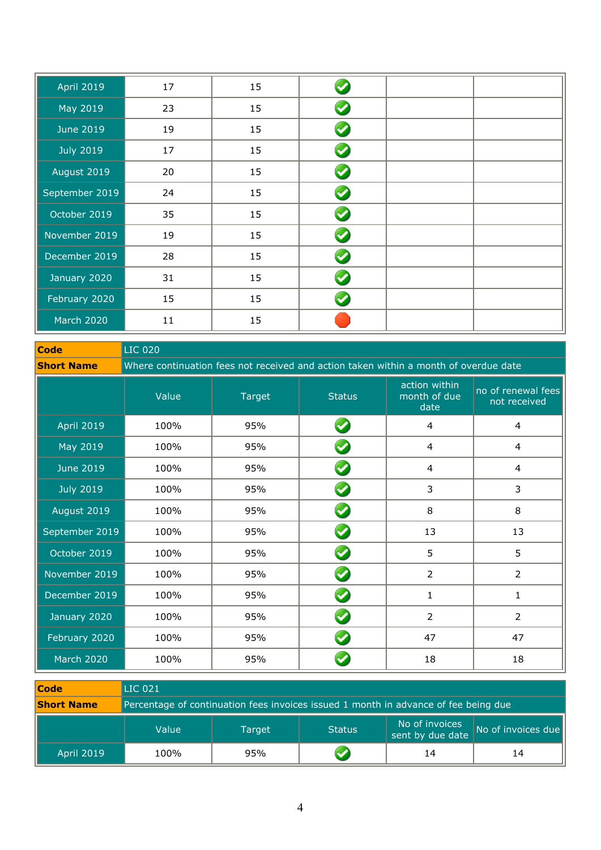| <b>April 2019</b> | 17     | 15 |          |  |
|-------------------|--------|----|----------|--|
| May 2019          | 23     | 15 | <b>V</b> |  |
| <b>June 2019</b>  | 19     | 15 | V        |  |
| <b>July 2019</b>  | 17     | 15 | <b>V</b> |  |
| August 2019       | 20     | 15 | <b>V</b> |  |
| September 2019    | 24     | 15 | <b>Q</b> |  |
| October 2019      | 35     | 15 | V        |  |
| November 2019     | 19     | 15 | V        |  |
| December 2019     | 28     | 15 | <b>V</b> |  |
| January 2020      | 31     | 15 | <b>V</b> |  |
| February 2020     | 15     | 15 |          |  |
| <b>March 2020</b> | $11\,$ | 15 |          |  |

**Code** LIC 020

**Short Name** Where continuation fees not received and action taken within a month of overdue date

|                   | Value | <b>Target</b> | <b>Status</b>        | action within<br>month of due<br>date | no of renewal fees<br>not received |
|-------------------|-------|---------------|----------------------|---------------------------------------|------------------------------------|
| <b>April 2019</b> | 100%  | 95%           | $\blacktriangledown$ | $\overline{4}$                        | 4                                  |
| May 2019          | 100%  | 95%           | $\blacktriangledown$ | $\overline{4}$                        | 4                                  |
| <b>June 2019</b>  | 100%  | 95%           | $\blacktriangledown$ | $\overline{4}$                        | $\overline{4}$                     |
| <b>July 2019</b>  | 100%  | 95%           | V                    | 3                                     | 3                                  |
| August 2019       | 100%  | 95%           | V                    | 8                                     | 8                                  |
| September 2019    | 100%  | 95%           | $\blacktriangledown$ | 13                                    | 13                                 |
| October 2019      | 100%  | 95%           | $\blacktriangledown$ | 5                                     | 5                                  |
| November 2019     | 100%  | 95%           | $\blacktriangledown$ | $\overline{2}$                        | $\overline{2}$                     |
| December 2019     | 100%  | 95%           |                      | 1                                     | 1                                  |
| January 2020      | 100%  | 95%           | $\blacktriangledown$ | $\overline{2}$                        | $\overline{2}$                     |
| February 2020     | 100%  | 95%           | $\blacktriangledown$ | 47                                    | 47                                 |
| <b>March 2020</b> | 100%  | 95%           |                      | 18                                    | 18                                 |

| <b>Code</b>       | $\lfloor$ LIC 021                                                                   |        |               |                                    |                    |  |  |
|-------------------|-------------------------------------------------------------------------------------|--------|---------------|------------------------------------|--------------------|--|--|
| <b>Short Name</b> | Percentage of continuation fees invoices issued 1 month in advance of fee being due |        |               |                                    |                    |  |  |
|                   | Value                                                                               | Target | <b>Status</b> | No of invoices<br>sent by due date | No of invoices due |  |  |
| <b>April 2019</b> | 100%                                                                                | 95%    |               | 14                                 | 14                 |  |  |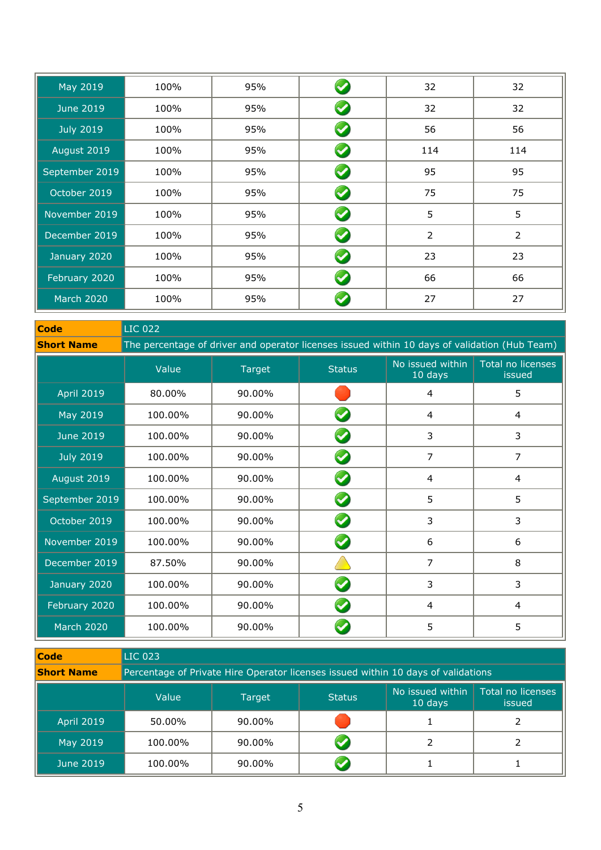| May 2019          | 100% | 95% |                      | 32             | 32             |
|-------------------|------|-----|----------------------|----------------|----------------|
| <b>June 2019</b>  | 100% | 95% |                      | 32             | 32             |
| <b>July 2019</b>  | 100% | 95% | $\blacktriangledown$ | 56             | 56             |
| August 2019       | 100% | 95% |                      | 114            | 114            |
| September 2019    | 100% | 95% | V                    | 95             | 95             |
| October 2019      | 100% | 95% |                      | 75             | 75             |
| November 2019     | 100% | 95% | $\blacktriangledown$ | 5              | 5              |
| December 2019     | 100% | 95% |                      | $\overline{2}$ | $\overline{2}$ |
| January 2020      | 100% | 95% |                      | 23             | 23             |
| February 2020     | 100% | 95% | $\blacktriangledown$ | 66             | 66             |
| <b>March 2020</b> | 100% | 95% |                      | 27             | 27             |

| Code              | <b>LIC 022</b>                                                                                |        |               |                             |                             |  |  |
|-------------------|-----------------------------------------------------------------------------------------------|--------|---------------|-----------------------------|-----------------------------|--|--|
| <b>Short Name</b> | The percentage of driver and operator licenses issued within 10 days of validation (Hub Team) |        |               |                             |                             |  |  |
|                   | Value                                                                                         | Target | <b>Status</b> | No issued within<br>10 days | Total no licenses<br>issued |  |  |
| <b>April 2019</b> | 80.00%                                                                                        | 90.00% |               | 4                           | 5                           |  |  |
| May 2019          | 100.00%                                                                                       | 90.00% |               | 4                           | 4                           |  |  |
| <b>June 2019</b>  | 100.00%                                                                                       | 90.00% |               | 3                           | 3                           |  |  |
| <b>July 2019</b>  | 100.00%                                                                                       | 90.00% |               | 7                           | $\overline{7}$              |  |  |
| August 2019       | 100.00%                                                                                       | 90.00% |               | $\overline{4}$              | 4                           |  |  |
| September 2019    | 100.00%                                                                                       | 90.00% |               | 5                           | 5                           |  |  |
| October 2019      | 100.00%                                                                                       | 90.00% |               | 3                           | 3                           |  |  |
| November 2019     | 100.00%                                                                                       | 90.00% |               | 6                           | 6                           |  |  |
| December 2019     | 87.50%                                                                                        | 90.00% |               | 7                           | 8                           |  |  |
| January 2020      | 100.00%                                                                                       | 90.00% |               | 3                           | 3                           |  |  |
| February 2020     | 100.00%                                                                                       | 90.00% |               | 4                           | 4                           |  |  |
| <b>March 2020</b> | 100.00%                                                                                       | 90.00% |               | 5                           | 5                           |  |  |

| Code              | <b>LIC 023</b> |                                                                                   |               |                             |                                    |  |  |  |
|-------------------|----------------|-----------------------------------------------------------------------------------|---------------|-----------------------------|------------------------------------|--|--|--|
| <b>Short Name</b> |                | Percentage of Private Hire Operator licenses issued within 10 days of validations |               |                             |                                    |  |  |  |
|                   | Value          | Target                                                                            | <b>Status</b> | No issued within<br>10 days | Total no licenses<br><i>issued</i> |  |  |  |
| <b>April 2019</b> | 50.00%         | $90.00\%$                                                                         |               |                             |                                    |  |  |  |
| May 2019          | 100.00%        | 90.00%                                                                            |               |                             |                                    |  |  |  |
| June 2019         | 100.00%        | $90.00\%$                                                                         |               |                             |                                    |  |  |  |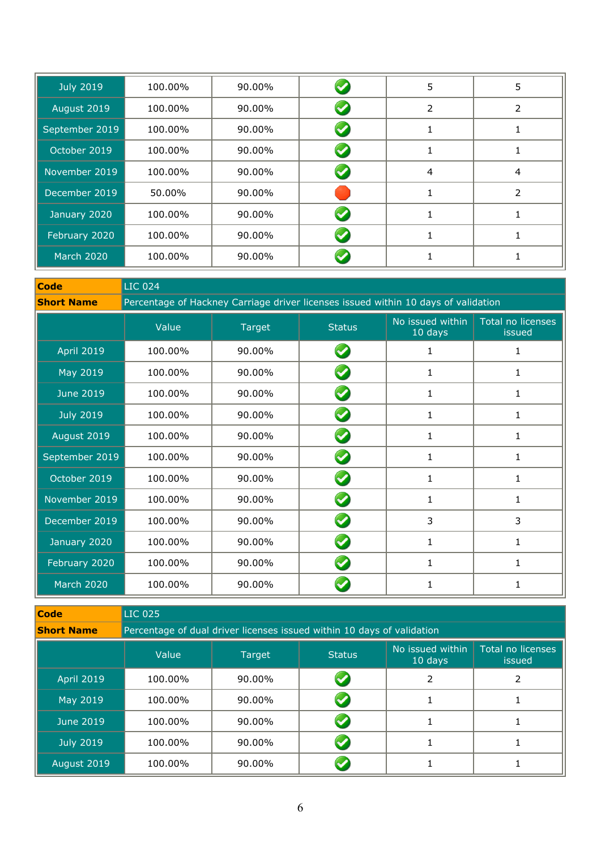| <b>July 2019</b>  | 100.00% | 90.00% | 5 | 5 |
|-------------------|---------|--------|---|---|
| August 2019       | 100.00% | 90.00% | 2 | 2 |
| September 2019    | 100.00% | 90.00% |   |   |
| October 2019      | 100.00% | 90.00% |   |   |
| November 2019     | 100.00% | 90.00% | 4 | 4 |
| December 2019     | 50.00%  | 90.00% |   | 2 |
| January 2020      | 100.00% | 90.00% |   |   |
| February 2020     | 100.00% | 90.00% |   |   |
| <b>March 2020</b> | 100.00% | 90.00% |   |   |

| <b>Code</b>       | LIC 024                                                                            |        |                      |                             |                             |  |  |  |
|-------------------|------------------------------------------------------------------------------------|--------|----------------------|-----------------------------|-----------------------------|--|--|--|
| <b>Short Name</b> | Percentage of Hackney Carriage driver licenses issued within 10 days of validation |        |                      |                             |                             |  |  |  |
|                   | Value                                                                              | Target | <b>Status</b>        | No issued within<br>10 days | Total no licenses<br>issued |  |  |  |
| <b>April 2019</b> | 100.00%                                                                            | 90.00% |                      | 1                           | 1                           |  |  |  |
| May 2019          | 100.00%                                                                            | 90.00% |                      | 1                           | 1                           |  |  |  |
| <b>June 2019</b>  | 100.00%                                                                            | 90.00% |                      | 1                           | 1                           |  |  |  |
| <b>July 2019</b>  | 100.00%                                                                            | 90.00% |                      | 1                           | 1                           |  |  |  |
| August 2019       | 100.00%                                                                            | 90.00% |                      | 1                           | 1                           |  |  |  |
| September 2019    | 100.00%                                                                            | 90.00% |                      | 1                           | 1                           |  |  |  |
| October 2019      | 100.00%                                                                            | 90.00% | $\blacktriangledown$ | 1                           | $\mathbf{1}$                |  |  |  |
| November 2019     | 100.00%                                                                            | 90.00% |                      | 1                           | 1                           |  |  |  |
| December 2019     | 100.00%                                                                            | 90.00% | $\blacktriangledown$ | 3                           | 3                           |  |  |  |
| January 2020      | 100.00%                                                                            | 90.00% |                      | 1                           | 1                           |  |  |  |
| February 2020     | 100.00%                                                                            | 90.00% |                      | 1                           | 1                           |  |  |  |
| <b>March 2020</b> | 100.00%                                                                            | 90.00% |                      | 1                           | 1                           |  |  |  |

| <b>Code</b>       | <b>LIC 025</b>                                                         |        |               |                             |                             |  |  |
|-------------------|------------------------------------------------------------------------|--------|---------------|-----------------------------|-----------------------------|--|--|
| <b>Short Name</b> | Percentage of dual driver licenses issued within 10 days of validation |        |               |                             |                             |  |  |
|                   | Value                                                                  | Target | <b>Status</b> | No issued within<br>10 days | Total no licenses<br>issued |  |  |
| <b>April 2019</b> | 100.00%                                                                | 90.00% |               |                             |                             |  |  |
| May 2019          | 100.00%                                                                | 90.00% |               |                             |                             |  |  |
| June 2019         | 100.00%                                                                | 90.00% |               |                             |                             |  |  |
| <b>July 2019</b>  | 100.00%                                                                | 90.00% |               |                             |                             |  |  |
| August 2019       | 100.00%                                                                | 90.00% |               |                             |                             |  |  |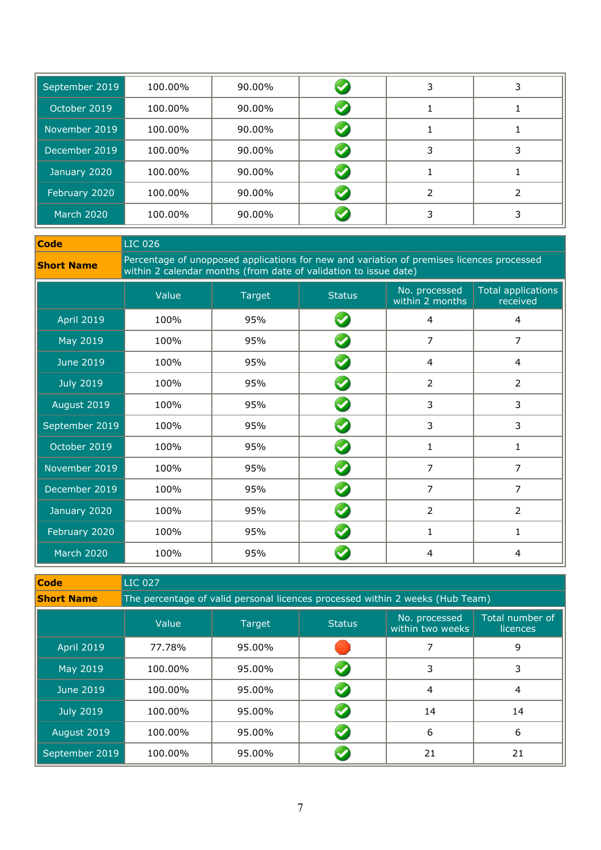| September 2019 | 100.00% | 90.00% |   |   |
|----------------|---------|--------|---|---|
| October 2019   | 100.00% | 90.00% |   |   |
| November 2019  | 100.00% | 90.00% |   |   |
| December 2019  | 100.00% | 90.00% | 3 | 3 |
| January 2020   | 100.00% | 90.00% |   |   |
| February 2020  | 100.00% | 90.00% |   |   |
| March 2020     | 100.00% | 90.00% |   |   |

**Code** LIC 026

**Short Name** Percentage of unopposed applications for new and variation of premises licences processed<br>within 2 calendar months (from date of validation to issue date)

|                   | Value | Target | <b>Status</b>        | No. processed<br>within 2 months | <b>Total applications</b><br>received |
|-------------------|-------|--------|----------------------|----------------------------------|---------------------------------------|
| <b>April 2019</b> | 100%  | 95%    | $\blacktriangledown$ | 4                                | 4                                     |
| May 2019          | 100%  | 95%    |                      | 7                                | $\overline{7}$                        |
| <b>June 2019</b>  | 100%  | 95%    | $\blacktriangledown$ | 4                                | $\overline{4}$                        |
| <b>July 2019</b>  | 100%  | 95%    |                      | $\overline{2}$                   | $\overline{2}$                        |
| August 2019       | 100%  | 95%    | V                    | 3                                | 3                                     |
| September 2019    | 100%  | 95%    | <b>V</b>             | 3                                | 3                                     |
| October 2019      | 100%  | 95%    | <b>V</b>             | $\mathbf{1}$                     | 1                                     |
| November 2019     | 100%  | 95%    |                      | $\overline{7}$                   | $\overline{7}$                        |
| December 2019     | 100%  | 95%    |                      | 7                                | $\overline{7}$                        |
| January 2020      | 100%  | 95%    | $\blacktriangledown$ | $\overline{2}$                   | $\overline{2}$                        |
| February 2020     | 100%  | 95%    | $\blacktriangledown$ | $\mathbf{1}$                     | $\mathbf{1}$                          |
| <b>March 2020</b> | 100%  | 95%    |                      | 4                                | 4                                     |

| <b>Code</b>       | <b>LIC 027</b>                                                                |               |               |                                   |                             |  |  |
|-------------------|-------------------------------------------------------------------------------|---------------|---------------|-----------------------------------|-----------------------------|--|--|
| <b>Short Name</b> | The percentage of valid personal licences processed within 2 weeks (Hub Team) |               |               |                                   |                             |  |  |
|                   | Value                                                                         | <b>Target</b> | <b>Status</b> | No. processed<br>within two weeks | Total number of<br>licences |  |  |
| <b>April 2019</b> | 77.78%                                                                        | 95.00%        |               |                                   | 9                           |  |  |
| May 2019          | 100.00%                                                                       | 95.00%        |               | 3                                 | 3                           |  |  |
| June 2019         | 100.00%                                                                       | 95.00%        |               | 4                                 | 4                           |  |  |
| <b>July 2019</b>  | 100.00%                                                                       | 95.00%        |               | 14                                | 14                          |  |  |
| August 2019       | 100.00%                                                                       | 95.00%        |               | 6                                 | 6                           |  |  |
| September 2019    | 100.00%                                                                       | 95.00%        |               | 21                                | 21                          |  |  |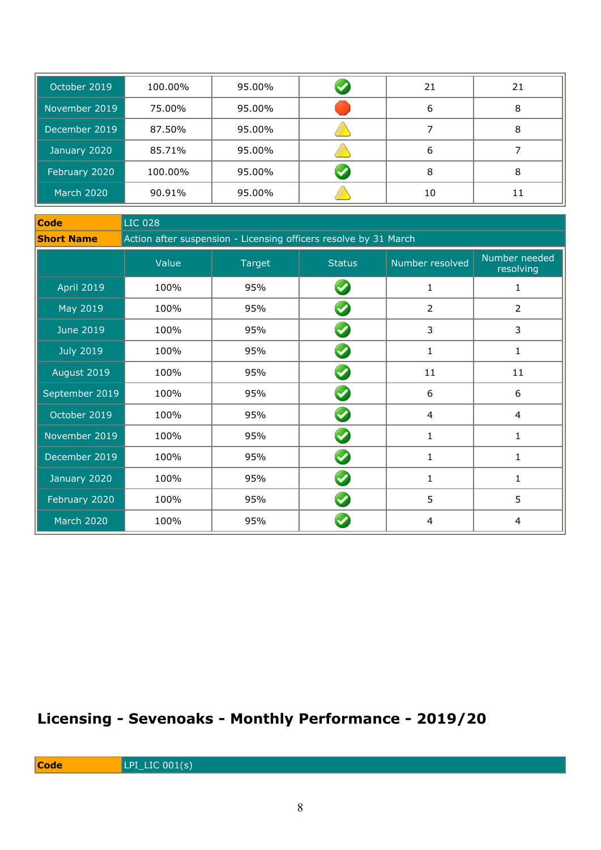| October 2019      | 100.00% | 95.00% | 21 | 21 |
|-------------------|---------|--------|----|----|
| November 2019     | 75.00%  | 95.00% | 6  | 8  |
| December 2019     | 87.50%  | 95.00% |    | 8  |
| January 2020      | 85.71%  | 95.00% | 6  |    |
| February 2020     | 100.00% | 95.00% | 8  | 8  |
| <b>March 2020</b> | 90.91%  | 95.00% | 10 | 11 |

| <b>Code</b>       | <b>LIC 028</b>                                                   |        |                      |                 |                            |  |  |
|-------------------|------------------------------------------------------------------|--------|----------------------|-----------------|----------------------------|--|--|
| <b>Short Name</b> | Action after suspension - Licensing officers resolve by 31 March |        |                      |                 |                            |  |  |
|                   | Value                                                            | Target | <b>Status</b>        | Number resolved | Number needed<br>resolving |  |  |
| <b>April 2019</b> | 100%                                                             | 95%    |                      | $\mathbf{1}$    | 1                          |  |  |
| May 2019          | 100%                                                             | 95%    |                      | $\overline{2}$  | 2                          |  |  |
| <b>June 2019</b>  | 100%                                                             | 95%    | $\blacktriangledown$ | 3               | 3                          |  |  |
| <b>July 2019</b>  | 100%                                                             | 95%    | $\blacktriangledown$ | 1               | 1                          |  |  |
| August 2019       | 100%                                                             | 95%    | $\blacktriangledown$ | 11              | 11                         |  |  |
| September 2019    | 100%                                                             | 95%    | $\blacktriangledown$ | 6               | 6                          |  |  |
| October 2019      | 100%                                                             | 95%    | $\blacktriangledown$ | 4               | $\overline{4}$             |  |  |
| November 2019     | 100%                                                             | 95%    | $\blacktriangledown$ | $\mathbf{1}$    | 1                          |  |  |
| December 2019     | 100%                                                             | 95%    | $\blacktriangledown$ | $\mathbf{1}$    | 1                          |  |  |
| January 2020      | 100%                                                             | 95%    | $\blacktriangledown$ | 1               | 1                          |  |  |
| February 2020     | 100%                                                             | 95%    |                      | 5               | 5                          |  |  |
| <b>March 2020</b> | 100%                                                             | 95%    |                      | 4               | 4                          |  |  |

# **Licensing - Sevenoaks - Monthly Performance - 2019/20**

**Code** LPI\_LIC 001(s)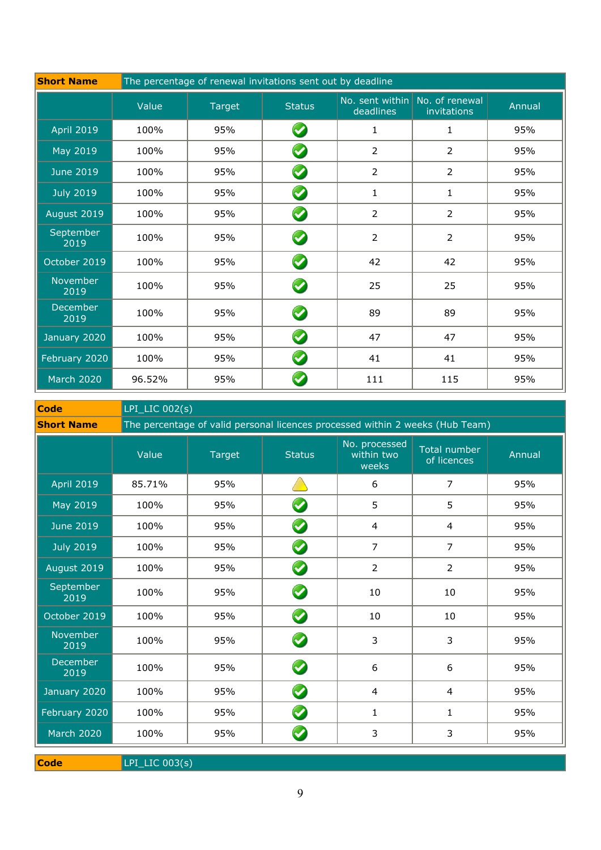| <b>Short Name</b> | The percentage of renewal invitations sent out by deadline |               |                      |                |                                               |        |
|-------------------|------------------------------------------------------------|---------------|----------------------|----------------|-----------------------------------------------|--------|
|                   | Value                                                      | <b>Target</b> | <b>Status</b>        | deadlines      | No. sent within No. of renewal<br>invitations | Annual |
| <b>April 2019</b> | 100%                                                       | 95%           | $\blacktriangledown$ | 1              | $\mathbf{1}$                                  | 95%    |
| May 2019          | 100%                                                       | 95%           | $\bullet$            | $\overline{2}$ | $\overline{2}$                                | 95%    |
| <b>June 2019</b>  | 100%                                                       | 95%           | $\blacktriangledown$ | $\overline{2}$ | $\overline{2}$                                | 95%    |
| <b>July 2019</b>  | 100%                                                       | 95%           | $\blacklozenge$      | $\mathbf{1}$   | $\mathbf{1}$                                  | 95%    |
| August 2019       | 100%                                                       | 95%           | $\bullet$            | $\overline{2}$ | $\overline{2}$                                | 95%    |
| September<br>2019 | 100%                                                       | 95%           | $\blacktriangledown$ | $\overline{2}$ | $\overline{2}$                                | 95%    |
| October 2019      | 100%                                                       | 95%           | $\blacktriangledown$ | 42             | 42                                            | 95%    |
| November<br>2019  | 100%                                                       | 95%           | $\blacktriangledown$ | 25             | 25                                            | 95%    |
| December<br>2019  | 100%                                                       | 95%           | $\blacktriangledown$ | 89             | 89                                            | 95%    |
| January 2020      | 100%                                                       | 95%           | $\blacktriangledown$ | 47             | 47                                            | 95%    |
| February 2020     | 100%                                                       | 95%           | $\blacktriangledown$ | 41             | 41                                            | 95%    |
| <b>March 2020</b> | 96.52%                                                     | 95%           |                      | 111            | 115                                           | 95%    |

**Code** LPI\_LIC 002(s)

**Short Name** The percentage of valid personal licences processed within 2 weeks (Hub Team)

|                   | Value  | Target | <b>Status</b>        | No. processed<br>within two<br>weeks | Total number<br>of licences | Annual |
|-------------------|--------|--------|----------------------|--------------------------------------|-----------------------------|--------|
| <b>April 2019</b> | 85.71% | 95%    |                      | 6                                    | 7                           | 95%    |
| May 2019          | 100%   | 95%    | $\blacktriangledown$ | 5                                    | 5                           | 95%    |
| <b>June 2019</b>  | 100%   | 95%    | $\blacktriangledown$ | 4                                    | 4                           | 95%    |
| <b>July 2019</b>  | 100%   | 95%    | $\bullet$            | $\overline{7}$                       | 7                           | 95%    |
| August 2019       | 100%   | 95%    | $\bullet$            | $\overline{2}$                       | $\overline{2}$              | 95%    |
| September<br>2019 | 100%   | 95%    | $\blacklozenge$      | 10                                   | 10                          | 95%    |
| October 2019      | 100%   | 95%    | $\bullet$            | 10                                   | 10                          | 95%    |
| November<br>2019  | 100%   | 95%    | $\blacktriangledown$ | 3                                    | 3                           | 95%    |
| December<br>2019  | 100%   | 95%    | $\boldsymbol{Q}$     | 6                                    | 6                           | 95%    |
| January 2020      | 100%   | 95%    | $\blacktriangledown$ | 4                                    | 4                           | 95%    |
| February 2020     | 100%   | 95%    | $\blacktriangledown$ | 1                                    | 1                           | 95%    |
| <b>March 2020</b> | 100%   | 95%    | $\blacktriangledown$ | 3                                    | 3                           | 95%    |

**Code** LPI\_LIC 003(s)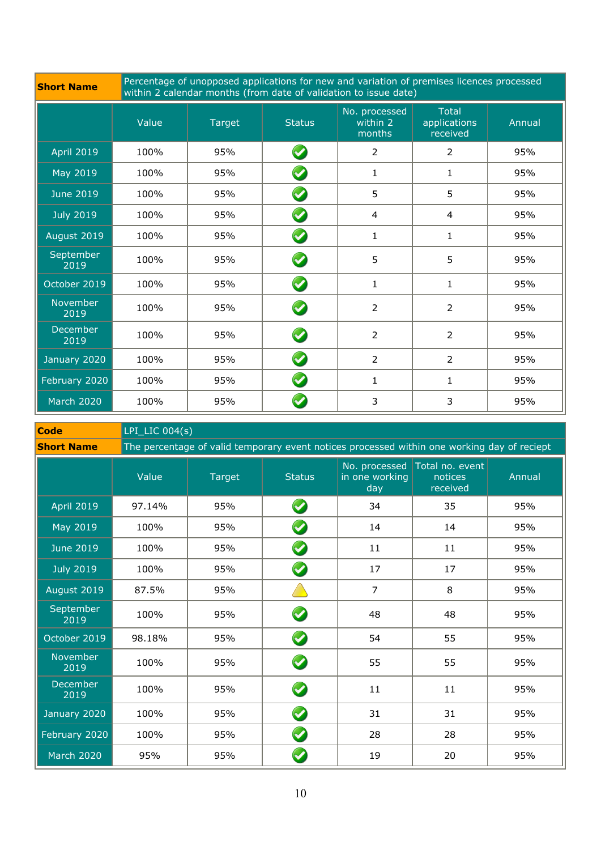|  | <b>Short Name</b> |
|--|-------------------|

**Short Name** Percentage of unopposed applications for new and variation of premises licences processed<br>within 2 calendar months (from date of validation to issue date)

|                   | Value | <b>Target</b> | <b>Status</b>         | No. processed<br>within 2<br>months | <b>Total</b><br>applications<br>received | Annual |
|-------------------|-------|---------------|-----------------------|-------------------------------------|------------------------------------------|--------|
| <b>April 2019</b> | 100%  | 95%           | $\blacktriangledown$  | $\overline{2}$                      | $\overline{2}$                           | 95%    |
| May 2019          | 100%  | 95%           | $\bullet$             | 1                                   | 1                                        | 95%    |
| <b>June 2019</b>  | 100%  | 95%           | $\boldsymbol{\omega}$ | 5                                   | 5                                        | 95%    |
| <b>July 2019</b>  | 100%  | 95%           | $\bullet$             | 4                                   | $\overline{4}$                           | 95%    |
| August 2019       | 100%  | 95%           | $\boldsymbol{\omega}$ | $\mathbf{1}$                        | $\mathbf{1}$                             | 95%    |
| September<br>2019 | 100%  | 95%           | $\bullet$             | 5                                   | 5                                        | 95%    |
| October 2019      | 100%  | 95%           | $\blacklozenge$       | $\mathbf{1}$                        | $\mathbf 1$                              | 95%    |
| November<br>2019  | 100%  | 95%           | $\bullet$             | 2                                   | $\overline{2}$                           | 95%    |
| December<br>2019  | 100%  | 95%           | $\bullet$             | 2                                   | $\overline{2}$                           | 95%    |
| January 2020      | 100%  | 95%           | $\blacklozenge$       | $\overline{2}$                      | $\overline{2}$                           | 95%    |
| February 2020     | 100%  | 95%           | $\blacktriangledown$  | $\mathbf{1}$                        | 1                                        | 95%    |
| <b>March 2020</b> | 100%  | 95%           |                       | 3                                   | 3                                        | 95%    |

| <b>Code</b>             | $LPI_LIC$ 004(s) |                                                                                             |                      |                       |                                                      |        |  |  |  |  |
|-------------------------|------------------|---------------------------------------------------------------------------------------------|----------------------|-----------------------|------------------------------------------------------|--------|--|--|--|--|
| <b>Short Name</b>       |                  | The percentage of valid temporary event notices processed within one working day of reciept |                      |                       |                                                      |        |  |  |  |  |
|                         | Value            | <b>Target</b>                                                                               | <b>Status</b>        | in one working<br>day | No. processed Total no. event<br>notices<br>received | Annual |  |  |  |  |
| <b>April 2019</b>       | 97.14%           | 95%                                                                                         | $\bullet$            | 34                    | 35                                                   | 95%    |  |  |  |  |
| May 2019                | 100%             | 95%                                                                                         | $\bullet$            | 14                    | 14                                                   | 95%    |  |  |  |  |
| <b>June 2019</b>        | 100%             | 95%                                                                                         | $\bullet$            | 11                    | 11                                                   | 95%    |  |  |  |  |
| <b>July 2019</b>        | 100%             | 95%                                                                                         | $\bullet$            | 17                    | 17                                                   | 95%    |  |  |  |  |
| August 2019             | 87.5%            | 95%                                                                                         |                      | $\overline{7}$        | 8                                                    | 95%    |  |  |  |  |
| September<br>2019       | 100%             | 95%                                                                                         | $\bullet$            | 48                    | 48                                                   | 95%    |  |  |  |  |
| October 2019            | 98.18%           | 95%                                                                                         | $\bullet$            | 54                    | 55                                                   | 95%    |  |  |  |  |
| November<br>2019        | 100%             | 95%                                                                                         | $\bullet$            | 55                    | 55                                                   | 95%    |  |  |  |  |
| <b>December</b><br>2019 | 100%             | 95%                                                                                         | $\bullet$            | 11                    | 11                                                   | 95%    |  |  |  |  |
| January 2020            | 100%             | 95%                                                                                         | $\bullet$            | 31                    | 31                                                   | 95%    |  |  |  |  |
| February 2020           | 100%             | 95%                                                                                         | $\bullet$            | 28                    | 28                                                   | 95%    |  |  |  |  |
| <b>March 2020</b>       | 95%              | 95%                                                                                         | $\blacktriangledown$ | 19                    | 20                                                   | 95%    |  |  |  |  |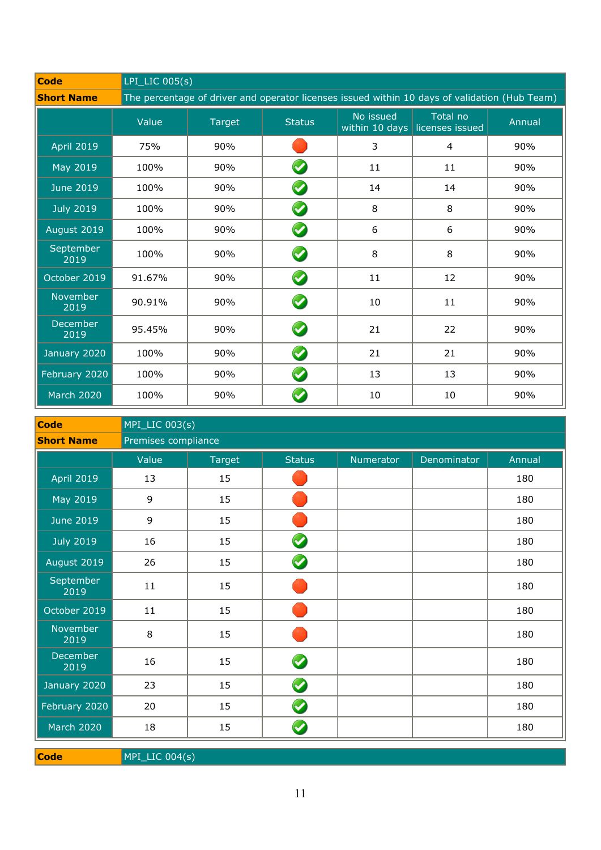| <b>Code</b>       |        | $LPI_LIC$ 005(s)                                                                              |               |                                 |                             |        |  |  |  |
|-------------------|--------|-----------------------------------------------------------------------------------------------|---------------|---------------------------------|-----------------------------|--------|--|--|--|
| <b>Short Name</b> |        | The percentage of driver and operator licenses issued within 10 days of validation (Hub Team) |               |                                 |                             |        |  |  |  |
|                   | Value  | <b>Target</b>                                                                                 | <b>Status</b> | No issued<br>within 10 days $ $ | Total no<br>licenses issued | Annual |  |  |  |
| <b>April 2019</b> | 75%    | 90%                                                                                           |               | 3                               | 4                           | 90%    |  |  |  |
| May 2019          | 100%   | 90%                                                                                           | $\bullet$     | 11                              | 11                          | 90%    |  |  |  |
| <b>June 2019</b>  | 100%   | 90%                                                                                           | $\bullet$     | 14                              | 14                          | 90%    |  |  |  |
| <b>July 2019</b>  | 100%   | 90%                                                                                           | $\bullet$     | 8                               | 8                           | 90%    |  |  |  |
| August 2019       | 100%   | 90%                                                                                           | $\bullet$     | 6                               | 6                           | 90%    |  |  |  |
| September<br>2019 | 100%   | 90%                                                                                           | $\bullet$     | 8                               | 8                           | 90%    |  |  |  |
| October 2019      | 91.67% | 90%                                                                                           | $\bullet$     | 11                              | 12                          | 90%    |  |  |  |
| November<br>2019  | 90.91% | 90%                                                                                           | $\bullet$     | 10                              | 11                          | 90%    |  |  |  |
| December<br>2019  | 95.45% | 90%                                                                                           | $\bullet$     | 21                              | 22                          | 90%    |  |  |  |
| January 2020      | 100%   | 90%                                                                                           | $\bullet$     | 21                              | 21                          | 90%    |  |  |  |
| February 2020     | 100%   | 90%                                                                                           | $\bullet$     | 13                              | 13                          | 90%    |  |  |  |
| <b>March 2020</b> | 100%   | 90%                                                                                           |               | 10                              | 10                          | 90%    |  |  |  |

| <b>Code</b>             | MPI_LIC 003(s) |                     |                      |           |             |        |  |  |  |  |
|-------------------------|----------------|---------------------|----------------------|-----------|-------------|--------|--|--|--|--|
| <b>Short Name</b>       |                | Premises compliance |                      |           |             |        |  |  |  |  |
|                         | Value          | <b>Target</b>       | <b>Status</b>        | Numerator | Denominator | Annual |  |  |  |  |
| <b>April 2019</b>       | 13             | 15                  |                      |           |             | 180    |  |  |  |  |
| May 2019                | 9              | 15                  |                      |           |             | 180    |  |  |  |  |
| <b>June 2019</b>        | 9              | 15                  |                      |           |             | 180    |  |  |  |  |
| <b>July 2019</b>        | 16             | 15                  | $\blacktriangledown$ |           |             | 180    |  |  |  |  |
| August 2019             | 26             | 15                  | $\bullet$            |           |             | 180    |  |  |  |  |
| September<br>2019       | 11             | 15                  |                      |           |             | 180    |  |  |  |  |
| October 2019            | 11             | 15                  |                      |           |             | 180    |  |  |  |  |
| November<br>2019        | 8              | 15                  |                      |           |             | 180    |  |  |  |  |
| <b>December</b><br>2019 | 16             | 15                  | $\blacktriangledown$ |           |             | 180    |  |  |  |  |
| January 2020            | 23             | 15                  | $\bullet$            |           |             | 180    |  |  |  |  |
| February 2020           | 20             | 15                  | $\bullet$            |           |             | 180    |  |  |  |  |
| <b>March 2020</b>       | 18             | 15                  | V                    |           |             | 180    |  |  |  |  |

**Code** MPI\_LIC 004(s)

11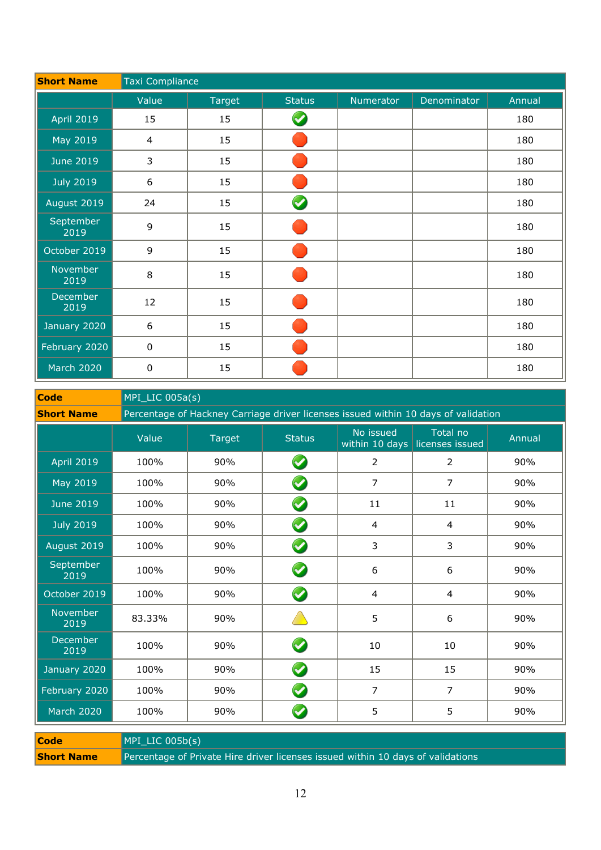| <b>Short Name</b>       |                  | Taxi Compliance |               |           |             |        |  |  |
|-------------------------|------------------|-----------------|---------------|-----------|-------------|--------|--|--|
|                         | Value            | Target          | <b>Status</b> | Numerator | Denominator | Annual |  |  |
| <b>April 2019</b>       | 15               | 15              |               |           |             | 180    |  |  |
| May 2019                | $\overline{4}$   | 15              |               |           |             | 180    |  |  |
| June 2019               | 3                | 15              |               |           |             | 180    |  |  |
| <b>July 2019</b>        | $\sqrt{6}$       | 15              |               |           |             | 180    |  |  |
| August 2019             | 24               | 15              | $\bullet$     |           |             | 180    |  |  |
| September<br>2019       | $\mathsf 9$      | 15              |               |           |             | 180    |  |  |
| October 2019            | 9                | 15              |               |           |             | 180    |  |  |
| November<br>2019        | $\,8\,$          | 15              |               |           |             | 180    |  |  |
| <b>December</b><br>2019 | 12               | 15              |               |           |             | 180    |  |  |
| January 2020            | $\boldsymbol{6}$ | 15              |               |           |             | 180    |  |  |
| February 2020           | $\pmb{0}$        | 15              |               |           |             | 180    |  |  |
| <b>March 2020</b>       | $\pmb{0}$        | 15              |               |           |             | 180    |  |  |

**Code** MPI\_LIC 005a(s)

**Short Name** Percentage of Hackney Carriage driver licenses issued within 10 days of validation

|                   | Value  | <b>Target</b> | <b>Status</b>    | No issued      | Total no<br>within 10 days licenses issued | Annual |
|-------------------|--------|---------------|------------------|----------------|--------------------------------------------|--------|
| <b>April 2019</b> | 100%   | 90%           | $\bullet$        | $\overline{2}$ | 2                                          | 90%    |
| May 2019          | 100%   | 90%           | $\bullet$        | $\overline{7}$ | 7                                          | 90%    |
| <b>June 2019</b>  | 100%   | 90%           | $\bullet$        | 11             | 11                                         | 90%    |
| <b>July 2019</b>  | 100%   | 90%           | $\boldsymbol{Q}$ | $\overline{4}$ | $\overline{4}$                             | 90%    |
| August 2019       | 100%   | 90%           | $\bullet$        | 3              | 3                                          | 90%    |
| September<br>2019 | 100%   | 90%           | $\bullet$        | 6              | 6                                          | 90%    |
| October 2019      | 100%   | 90%           | $\bullet$        | $\overline{4}$ | $\overline{4}$                             | 90%    |
| November<br>2019  | 83.33% | 90%           |                  | 5              | 6                                          | 90%    |
| December<br>2019  | 100%   | 90%           | $\blacklozenge$  | $10\,$         | 10                                         | 90%    |
| January 2020      | 100%   | 90%           | $\bullet$        | 15             | 15                                         | 90%    |
| February 2020     | 100%   | 90%           | $\bullet$        | $\overline{7}$ | $\overline{7}$                             | 90%    |
| <b>March 2020</b> | 100%   | 90%           | $\bullet$        | 5              | 5                                          | 90%    |

| <b>Code</b>       | $MPI$ LIC 005b(s)                                                               |
|-------------------|---------------------------------------------------------------------------------|
| <b>Short Name</b> | Percentage of Private Hire driver licenses issued within 10 days of validations |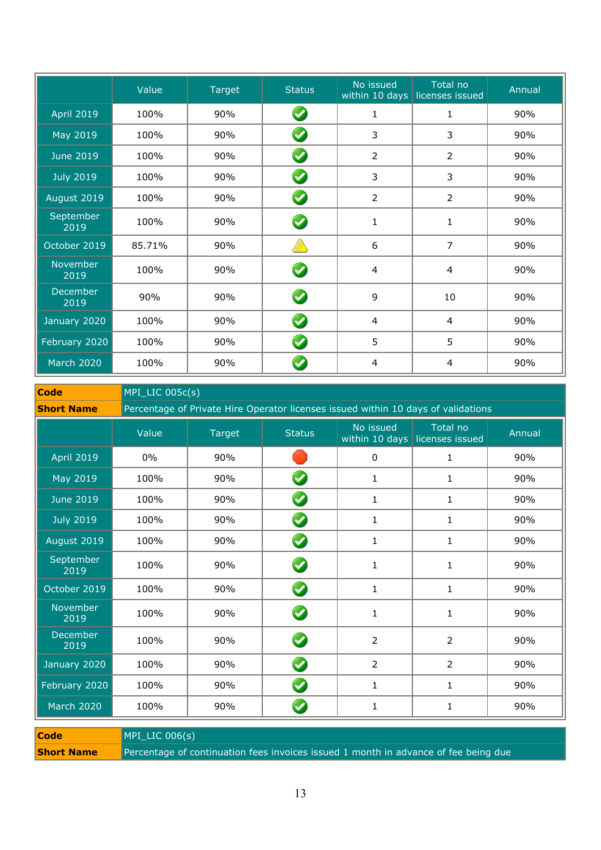|                   | Value  | <b>Target</b> | <b>Status</b>        | No issued      | Total no<br>within 10 days licenses issued | Annual |
|-------------------|--------|---------------|----------------------|----------------|--------------------------------------------|--------|
| <b>April 2019</b> | 100%   | 90%           | $\blacktriangledown$ | $\mathbf{1}$   | 1                                          | 90%    |
| May 2019          | 100%   | 90%           | $\blacktriangledown$ | 3              | 3                                          | 90%    |
| <b>June 2019</b>  | 100%   | 90%           | $\bullet$            | $\overline{2}$ | 2                                          | 90%    |
| <b>July 2019</b>  | 100%   | 90%           | $\blacktriangledown$ | 3              | 3                                          | 90%    |
| August 2019       | 100%   | 90%           | $\bullet$            | $\overline{2}$ | 2                                          | 90%    |
| September<br>2019 | 100%   | 90%           | $\blacklozenge$      | $\mathbf{1}$   | $\mathbf{1}$                               | 90%    |
| October 2019      | 85.71% | 90%           |                      | 6              | 7                                          | 90%    |
| November<br>2019  | 100%   | 90%           | $\blacktriangledown$ | 4              | $\overline{4}$                             | 90%    |
| December<br>2019  | 90%    | 90%           | $\bullet$            | 9              | 10                                         | 90%    |
| January 2020      | 100%   | 90%           | $\blacktriangledown$ | 4              | $\overline{4}$                             | 90%    |
| February 2020     | 100%   | 90%           | $\blacktriangledown$ | 5              | 5                                          | 90%    |
| <b>March 2020</b> | 100%   | 90%           |                      | 4              | 4                                          | 90%    |

**Code** MPI\_LIC 005c(s)

**Short Name** Percentage of Private Hire Operator licenses issued within 10 days of validations

|                   | Value | <b>Target</b> | <b>Status</b>        | No issued      | Total no<br>within 10 days licenses issued | Annual |
|-------------------|-------|---------------|----------------------|----------------|--------------------------------------------|--------|
| <b>April 2019</b> | $0\%$ | 90%           |                      | 0              | 1                                          | 90%    |
| May 2019          | 100%  | 90%           | $\blacktriangledown$ | 1              | 1                                          | 90%    |
| <b>June 2019</b>  | 100%  | 90%           | $\blacktriangledown$ | $\mathbf{1}$   | 1                                          | 90%    |
| <b>July 2019</b>  | 100%  | 90%           | $\blacklozenge$      | $\mathbf{1}$   | $\mathbf{1}$                               | 90%    |
| August 2019       | 100%  | 90%           | $\bullet$            | $\mathbf{1}$   | $\mathbf{1}$                               | 90%    |
| September<br>2019 | 100%  | 90%           | $\bullet$            | 1              | 1                                          | 90%    |
| October 2019      | 100%  | 90%           | $\bullet$            | $\mathbf{1}$   | $\mathbf{1}$                               | 90%    |
| November<br>2019  | 100%  | 90%           | Ø                    | 1              | 1                                          | 90%    |
| December<br>2019  | 100%  | 90%           | $\blacktriangledown$ | 2              | $\overline{2}$                             | 90%    |
| January 2020      | 100%  | 90%           | $\blacklozenge$      | $\overline{2}$ | $\overline{2}$                             | 90%    |
| February 2020     | 100%  | 90%           | $\blacktriangledown$ | 1              | 1                                          | 90%    |
| <b>March 2020</b> | 100%  | 90%           | V                    | 1              | 1                                          | 90%    |

| <b>Code</b>       | $MPI$ LIC 006(s)                                                                    |
|-------------------|-------------------------------------------------------------------------------------|
| <b>Short Name</b> | Percentage of continuation fees invoices issued 1 month in advance of fee being due |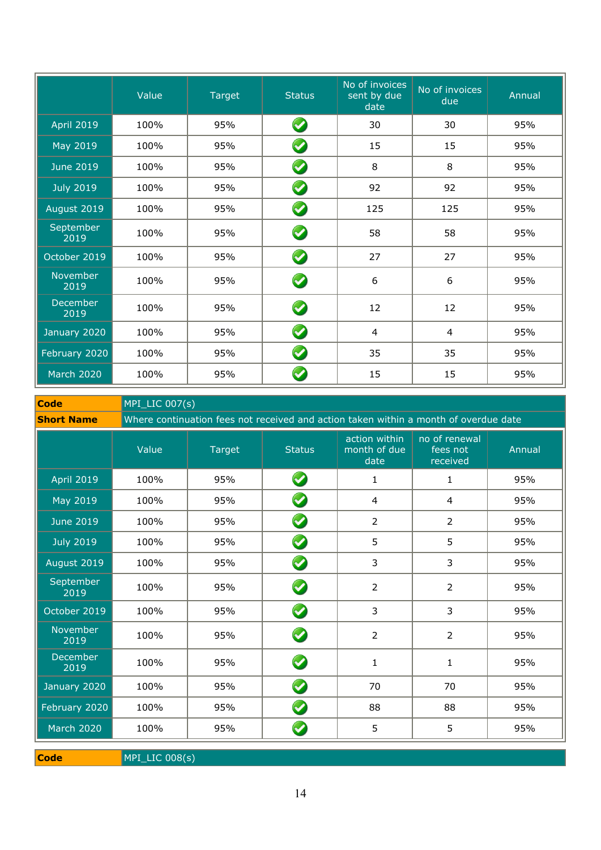|                         | Value | Target | <b>Status</b> | No of invoices<br>sent by due<br>date | No of invoices<br>due | Annual |
|-------------------------|-------|--------|---------------|---------------------------------------|-----------------------|--------|
| <b>April 2019</b>       | 100%  | 95%    | $\bullet$     | 30                                    | 30                    | 95%    |
| May 2019                | 100%  | 95%    | $\bullet$     | 15                                    | 15                    | 95%    |
| <b>June 2019</b>        | 100%  | 95%    | $\bullet$     | 8                                     | 8                     | 95%    |
| <b>July 2019</b>        | 100%  | 95%    | $\bullet$     | 92                                    | 92                    | 95%    |
| August 2019             | 100%  | 95%    | $\bullet$     | 125                                   | 125                   | 95%    |
| September<br>2019       | 100%  | 95%    | $\bullet$     | 58                                    | 58                    | 95%    |
| October 2019            | 100%  | 95%    | $\bullet$     | 27                                    | 27                    | 95%    |
| November<br>2019        | 100%  | 95%    | $\bullet$     | 6                                     | 6                     | 95%    |
| <b>December</b><br>2019 | 100%  | 95%    | $\bullet$     | 12                                    | 12                    | 95%    |
| January 2020            | 100%  | 95%    | $\bullet$     | 4                                     | 4                     | 95%    |
| February 2020           | 100%  | 95%    | $\bullet$     | 35                                    | 35                    | 95%    |
| <b>March 2020</b>       | 100%  | 95%    | V             | 15                                    | 15                    | 95%    |

**Code** MPI\_LIC 007(s)

**Short Name** Where continuation fees not received and action taken within a month of overdue date

|                   | Value | Target | <b>Status</b>        | action within<br>month of due<br>date | no of renewal<br>fees not<br>received | Annual |
|-------------------|-------|--------|----------------------|---------------------------------------|---------------------------------------|--------|
| <b>April 2019</b> | 100%  | 95%    | $\bigcirc$           | 1                                     | $\mathbf{1}$                          | 95%    |
| May 2019          | 100%  | 95%    | $\bullet$            | 4                                     | $\overline{4}$                        | 95%    |
| <b>June 2019</b>  | 100%  | 95%    | $\bullet$            | $\overline{2}$                        | $\overline{2}$                        | 95%    |
| <b>July 2019</b>  | 100%  | 95%    | $\bullet$            | 5                                     | 5                                     | 95%    |
| August 2019       | 100%  | 95%    | $\bullet$            | 3                                     | 3                                     | 95%    |
| September<br>2019 | 100%  | 95%    | $\bigcirc$           | $\overline{2}$                        | $\overline{2}$                        | 95%    |
| October 2019      | 100%  | 95%    | $\bullet$            | 3                                     | 3                                     | 95%    |
| November<br>2019  | 100%  | 95%    | Ø                    | $\overline{2}$                        | $\overline{2}$                        | 95%    |
| December<br>2019  | 100%  | 95%    | $\bullet$            | 1                                     | $\mathbf{1}$                          | 95%    |
| January 2020      | 100%  | 95%    | Ø                    | 70                                    | 70                                    | 95%    |
| February 2020     | 100%  | 95%    | $\blacktriangledown$ | 88                                    | 88                                    | 95%    |
| March 2020        | 100%  | 95%    | $\blacktriangledown$ | 5                                     | 5                                     | 95%    |

**Code** MPI\_LIC 008(s)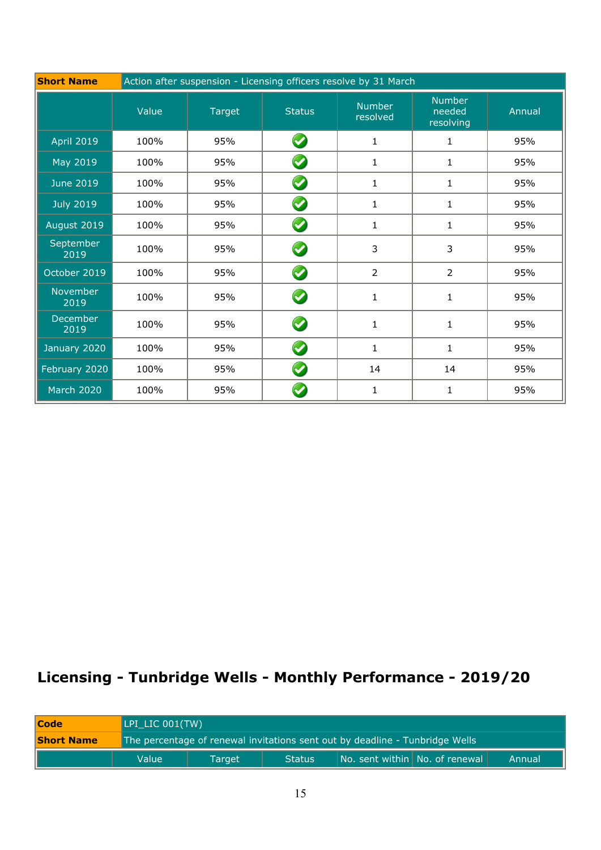| <b>Short Name</b>       | Action after suspension - Licensing officers resolve by 31 March |               |                      |                           |                                      |        |  |
|-------------------------|------------------------------------------------------------------|---------------|----------------------|---------------------------|--------------------------------------|--------|--|
|                         | Value                                                            | <b>Target</b> | <b>Status</b>        | <b>Number</b><br>resolved | <b>Number</b><br>needed<br>resolving | Annual |  |
| <b>April 2019</b>       | 100%                                                             | 95%           | $\bullet$            | $\mathbf{1}$              | $\mathbf{1}$                         | 95%    |  |
| May 2019                | 100%                                                             | 95%           | $\bullet$            | 1                         | $\mathbf{1}$                         | 95%    |  |
| <b>June 2019</b>        | 100%                                                             | 95%           | $\blacktriangledown$ | 1                         | $\mathbf{1}$                         | 95%    |  |
| <b>July 2019</b>        | 100%                                                             | 95%           | $\blacklozenge$      | $\mathbf{1}$              | 1                                    | 95%    |  |
| August 2019             | 100%                                                             | 95%           | $\bullet$            | $\mathbf{1}$              | 1                                    | 95%    |  |
| September<br>2019       | 100%                                                             | 95%           | $\bullet$            | 3                         | 3                                    | 95%    |  |
| October 2019            | 100%                                                             | 95%           | $\blacklozenge$      | $\overline{2}$            | 2                                    | 95%    |  |
| November<br>2019        | 100%                                                             | 95%           | $\blacklozenge$      | 1                         | $\mathbf{1}$                         | 95%    |  |
| <b>December</b><br>2019 | 100%                                                             | 95%           | $\blacktriangledown$ | 1                         | $\mathbf{1}$                         | 95%    |  |
| January 2020            | 100%                                                             | 95%           | $\blacktriangledown$ | 1                         | $\mathbf{1}$                         | 95%    |  |
| February 2020           | 100%                                                             | 95%           | $\blacklozenge$      | 14                        | 14                                   | 95%    |  |
| <b>March 2020</b>       | 100%                                                             | 95%           |                      | $\mathbf{1}$              | 1                                    | 95%    |  |

# **Licensing - Tunbridge Wells - Monthly Performance - 2019/20**

| <b>Code</b>       |                                                                              | LPI LIC 001(TW) |        |                                |  |        |  |
|-------------------|------------------------------------------------------------------------------|-----------------|--------|--------------------------------|--|--------|--|
| <b>Short Name</b> | The percentage of renewal invitations sent out by deadline - Tunbridge Wells |                 |        |                                |  |        |  |
|                   | Value                                                                        | Target          | Status | No. sent within No. of renewal |  | Annual |  |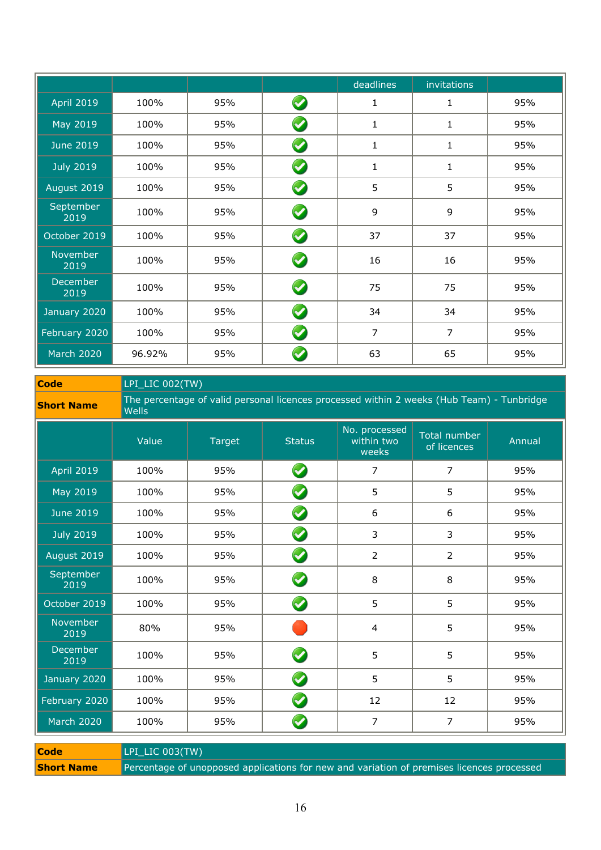|                   |        |     |                      | deadlines      | invitations  |     |
|-------------------|--------|-----|----------------------|----------------|--------------|-----|
| <b>April 2019</b> | 100%   | 95% | $\bullet$            | $\mathbf{1}$   | 1            | 95% |
| May 2019          | 100%   | 95% | $\blacktriangledown$ | 1              | $\mathbf{1}$ | 95% |
| <b>June 2019</b>  | 100%   | 95% | $\blacktriangledown$ | 1              | 1            | 95% |
| <b>July 2019</b>  | 100%   | 95% | $\bullet$            | $\mathbf{1}$   | 1            | 95% |
| August 2019       | 100%   | 95% | Ø                    | 5              | 5            | 95% |
| September<br>2019 | 100%   | 95% | $\bullet$            | 9              | 9            | 95% |
| October 2019      | 100%   | 95% | $\blacktriangledown$ | 37             | 37           | 95% |
| November<br>2019  | 100%   | 95% | $\bullet$            | 16             | 16           | 95% |
| December<br>2019  | 100%   | 95% | $\blacklozenge$      | 75             | 75           | 95% |
| January 2020      | 100%   | 95% | $\blacktriangledown$ | 34             | 34           | 95% |
| February 2020     | 100%   | 95% | $\blacklozenge$      | $\overline{7}$ | 7            | 95% |
| <b>March 2020</b> | 96.92% | 95% | V                    | 63             | 65           | 95% |

**Code** LPI\_LIC 002(TW)

**Short Name** The percentage of valid personal licences processed within 2 weeks (Hub Team) - Tunbridge **Short Name** 

|                                | Value | <b>Target</b> | <b>Status</b>         | No. processed<br>within two<br>weeks | <b>Total number</b><br>of licences | Annual |
|--------------------------------|-------|---------------|-----------------------|--------------------------------------|------------------------------------|--------|
| <b>April 2019</b>              | 100%  | 95%           | $\bullet$             | 7                                    | 7                                  | 95%    |
| May 2019                       | 100%  | 95%           | $\bullet$             | 5                                    | 5                                  | 95%    |
| <b>June 2019</b>               | 100%  | 95%           | $\bullet$             | 6                                    | 6                                  | 95%    |
| <b>July 2019</b>               | 100%  | 95%           | $\bullet$             | 3                                    | 3                                  | 95%    |
| August 2019                    | 100%  | 95%           | $\bullet$             | $\overline{2}$                       | $\overline{2}$                     | 95%    |
| September<br>$\overline{2019}$ | 100%  | 95%           | $\bullet$             | 8                                    | 8                                  | 95%    |
| October 2019                   | 100%  | 95%           | $\boldsymbol{\omega}$ | 5                                    | 5                                  | 95%    |
| November<br>2019               | 80%   | 95%           |                       | 4                                    | 5                                  | 95%    |
| December<br>2019               | 100%  | 95%           | $\boldsymbol{\omega}$ | 5                                    | 5                                  | 95%    |
| January 2020                   | 100%  | 95%           | $\blacklozenge$       | 5                                    | 5                                  | 95%    |
| February 2020                  | 100%  | 95%           | $\bullet$             | 12                                   | 12                                 | 95%    |
| <b>March 2020</b>              | 100%  | 95%           | $\blacktriangledown$  | 7                                    | 7                                  | 95%    |

**Code** LPI\_LIC 003(TW) **Short Name** Percentage of unopposed applications for new and variation of premises licences processed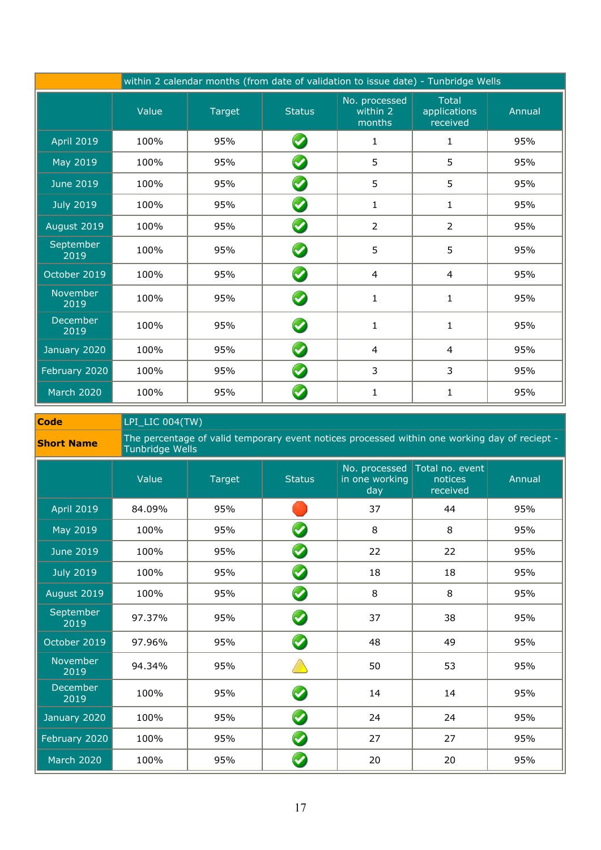| within 2 calendar months (from date of validation to issue date) - Tunbridge Wells |       |        |                       |                                     |                                          |        |  |
|------------------------------------------------------------------------------------|-------|--------|-----------------------|-------------------------------------|------------------------------------------|--------|--|
|                                                                                    | Value | Target | <b>Status</b>         | No. processed<br>within 2<br>months | <b>Total</b><br>applications<br>received | Annual |  |
| <b>April 2019</b>                                                                  | 100%  | 95%    | $\blacktriangledown$  | 1                                   | 1                                        | 95%    |  |
| May 2019                                                                           | 100%  | 95%    | $\blacktriangledown$  | 5                                   | 5                                        | 95%    |  |
| <b>June 2019</b>                                                                   | 100%  | 95%    | $\blacktriangledown$  | 5                                   | 5                                        | 95%    |  |
| <b>July 2019</b>                                                                   | 100%  | 95%    | $\blacktriangledown$  | $\mathbf{1}$                        | 1                                        | 95%    |  |
| August 2019                                                                        | 100%  | 95%    | $\bullet$             | $\overline{2}$                      | $\overline{2}$                           | 95%    |  |
| September<br>2019                                                                  | 100%  | 95%    | $\boldsymbol{\omega}$ | 5                                   | 5                                        | 95%    |  |
| October 2019                                                                       | 100%  | 95%    | $\blacktriangledown$  | 4                                   | $\overline{4}$                           | 95%    |  |
| November<br>2019                                                                   | 100%  | 95%    |                       | 1                                   | $\mathbf{1}$                             | 95%    |  |
| <b>December</b><br>2019                                                            | 100%  | 95%    |                       | 1                                   | $\mathbf{1}$                             | 95%    |  |
| January 2020                                                                       | 100%  | 95%    | $\blacktriangledown$  | 4                                   | $\overline{4}$                           | 95%    |  |
| February 2020                                                                      | 100%  | 95%    | $\blacktriangledown$  | 3                                   | 3                                        | 95%    |  |
| <b>March 2020</b>                                                                  | 100%  | 95%    |                       | 1                                   | 1                                        | 95%    |  |

**Code** LPI\_LIC 004(TW)

| Tunbridge Wells | <b>Short Name</b> |  | The percentage of valid temporary event notices processed within one working day of reciept - |  |  |
|-----------------|-------------------|--|-----------------------------------------------------------------------------------------------|--|--|
|-----------------|-------------------|--|-----------------------------------------------------------------------------------------------|--|--|

|                         | Value  | Target | <b>Status</b>        | No. processed<br>in one working<br>day | Total no. event<br>notices<br>received | Annual |
|-------------------------|--------|--------|----------------------|----------------------------------------|----------------------------------------|--------|
| <b>April 2019</b>       | 84.09% | 95%    |                      | 37                                     | 44                                     | 95%    |
| May 2019                | 100%   | 95%    | $\blacktriangledown$ | 8                                      | 8                                      | 95%    |
| <b>June 2019</b>        | 100%   | 95%    | $\bullet$            | 22                                     | 22                                     | 95%    |
| <b>July 2019</b>        | 100%   | 95%    | $\bullet$            | 18                                     | 18                                     | 95%    |
| August 2019             | 100%   | 95%    | $\bullet$            | 8                                      | 8                                      | 95%    |
| September<br>2019       | 97.37% | 95%    | $\bullet$            | 37                                     | 38                                     | 95%    |
| October 2019            | 97.96% | 95%    | $\blacktriangledown$ | 48                                     | 49                                     | 95%    |
| November<br>2019        | 94.34% | 95%    |                      | 50                                     | 53                                     | 95%    |
| <b>December</b><br>2019 | 100%   | 95%    | $\bullet$            | 14                                     | 14                                     | 95%    |
| January 2020            | 100%   | 95%    | $\blacklozenge$      | 24                                     | 24                                     | 95%    |
| February 2020           | 100%   | 95%    | $\bullet$            | 27                                     | 27                                     | 95%    |
| <b>March 2020</b>       | 100%   | 95%    |                      | 20                                     | 20                                     | 95%    |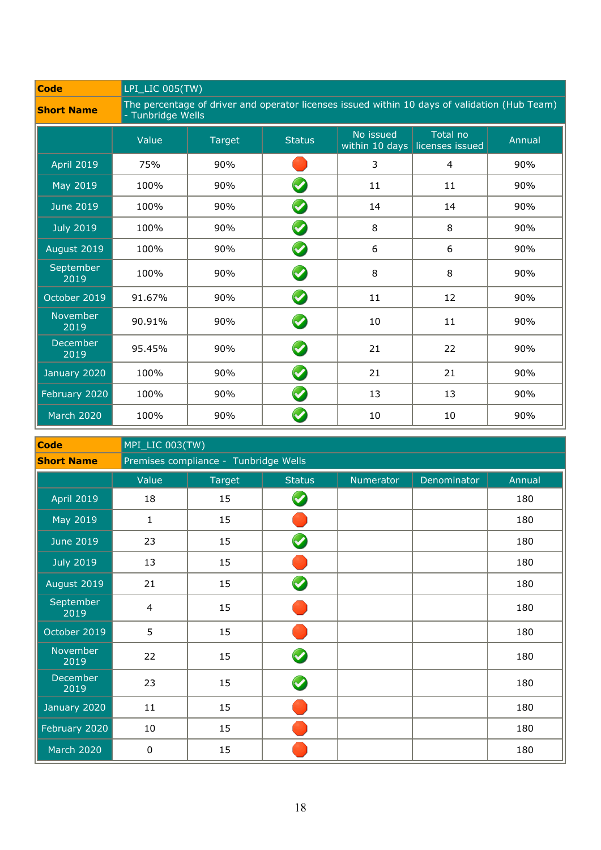| <b>Code</b>             |        | LPI_LIC 005(TW)                                                                                                    |                      |                             |                             |        |  |  |
|-------------------------|--------|--------------------------------------------------------------------------------------------------------------------|----------------------|-----------------------------|-----------------------------|--------|--|--|
| <b>Short Name</b>       |        | The percentage of driver and operator licenses issued within 10 days of validation (Hub Team)<br>- Tunbridge Wells |                      |                             |                             |        |  |  |
|                         | Value  | <b>Target</b>                                                                                                      | <b>Status</b>        | No issued<br>within 10 days | Total no<br>licenses issued | Annual |  |  |
| <b>April 2019</b>       | 75%    | 90%                                                                                                                |                      | 3                           | $\overline{4}$              | 90%    |  |  |
| May 2019                | 100%   | 90%                                                                                                                | V                    | 11                          | 11                          | 90%    |  |  |
| <b>June 2019</b>        | 100%   | 90%                                                                                                                | $\blacktriangledown$ | 14                          | 14                          | 90%    |  |  |
| <b>July 2019</b>        | 100%   | 90%                                                                                                                | $\blacktriangledown$ | 8                           | 8                           | 90%    |  |  |
| August 2019             | 100%   | 90%                                                                                                                | $\blacktriangledown$ | 6                           | 6                           | 90%    |  |  |
| September<br>2019       | 100%   | 90%                                                                                                                | $\boldsymbol{Q}$     | 8                           | 8                           | 90%    |  |  |
| October 2019            | 91.67% | 90%                                                                                                                | $\blacktriangledown$ | 11                          | 12                          | 90%    |  |  |
| November<br>2019        | 90.91% | 90%                                                                                                                | $\blacktriangledown$ | 10                          | 11                          | 90%    |  |  |
| <b>December</b><br>2019 | 95.45% | 90%                                                                                                                | $\bullet$            | 21                          | 22                          | 90%    |  |  |
| January 2020            | 100%   | 90%                                                                                                                | $\blacktriangledown$ | 21                          | 21                          | 90%    |  |  |
| February 2020           | 100%   | 90%                                                                                                                | $\blacktriangledown$ | 13                          | 13                          | 90%    |  |  |
| <b>March 2020</b>       | 100%   | 90%                                                                                                                |                      | 10                          | 10                          | 90%    |  |  |

| <b>Code</b>             | MPI_LIC 003(TW) |                                       |                      |           |             |        |  |  |
|-------------------------|-----------------|---------------------------------------|----------------------|-----------|-------------|--------|--|--|
| <b>Short Name</b>       |                 | Premises compliance - Tunbridge Wells |                      |           |             |        |  |  |
|                         | Value           | Target                                | <b>Status</b>        | Numerator | Denominator | Annual |  |  |
| <b>April 2019</b>       | 18              | 15                                    | $\blacktriangledown$ |           |             | 180    |  |  |
| May 2019                | 1               | 15                                    |                      |           |             | 180    |  |  |
| <b>June 2019</b>        | 23              | 15                                    | $\bullet$            |           |             | 180    |  |  |
| <b>July 2019</b>        | 13              | 15                                    |                      |           |             | 180    |  |  |
| August 2019             | 21              | 15                                    | $\bullet$            |           |             | 180    |  |  |
| September<br>2019       | $\overline{4}$  | 15                                    |                      |           |             | 180    |  |  |
| October 2019            | 5               | 15                                    |                      |           |             | 180    |  |  |
| November<br>2019        | 22              | 15                                    | $\blacklozenge$      |           |             | 180    |  |  |
| <b>December</b><br>2019 | 23              | 15                                    | $\blacklozenge$      |           |             | 180    |  |  |
| January 2020            | 11              | 15                                    |                      |           |             | 180    |  |  |
| February 2020           | 10              | 15                                    |                      |           |             | 180    |  |  |
| March 2020              | 0               | 15                                    |                      |           |             | 180    |  |  |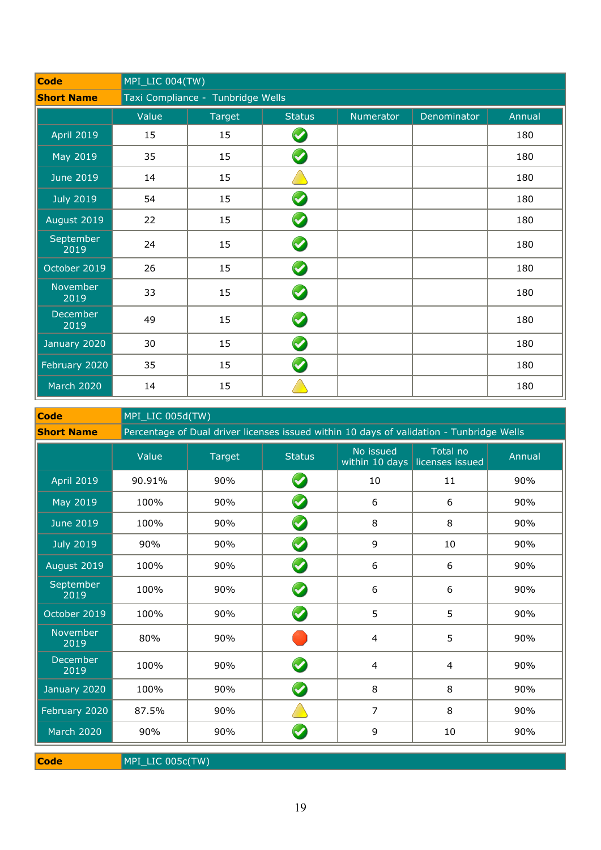| <b>Code</b>       | MPI_LIC 004(TW) |                                   |                      |           |             |        |  |
|-------------------|-----------------|-----------------------------------|----------------------|-----------|-------------|--------|--|
| <b>Short Name</b> |                 | Taxi Compliance - Tunbridge Wells |                      |           |             |        |  |
|                   | Value           | Target                            | <b>Status</b>        | Numerator | Denominator | Annual |  |
| <b>April 2019</b> | 15              | 15                                | $\blacktriangledown$ |           |             | 180    |  |
| May 2019          | 35              | 15                                | $\blacktriangledown$ |           |             | 180    |  |
| <b>June 2019</b>  | 14              | 15                                |                      |           |             | 180    |  |
| <b>July 2019</b>  | 54              | 15                                | $\blacktriangledown$ |           |             | 180    |  |
| August 2019       | 22              | 15                                | $\bullet$            |           |             | 180    |  |
| September<br>2019 | 24              | 15                                | $\bullet$            |           |             | 180    |  |
| October 2019      | 26              | 15                                | $\blacktriangledown$ |           |             | 180    |  |
| November<br>2019  | 33              | 15                                | $\blacktriangledown$ |           |             | 180    |  |
| December<br>2019  | 49              | 15                                | $\blacktriangledown$ |           |             | 180    |  |
| January 2020      | 30              | 15                                | $\blacktriangledown$ |           |             | 180    |  |
| February 2020     | 35              | 15                                | $\blacktriangledown$ |           |             | 180    |  |
| <b>March 2020</b> | 14              | 15                                |                      |           |             | 180    |  |

**Code** MPI\_LIC 005d(TW)

|                   | $1.11 + 1.20$ voor $1.11$ |                                                                                          |                       |                             |                             |        |  |  |  |
|-------------------|---------------------------|------------------------------------------------------------------------------------------|-----------------------|-----------------------------|-----------------------------|--------|--|--|--|
| <b>Short Name</b> |                           | Percentage of Dual driver licenses issued within 10 days of validation - Tunbridge Wells |                       |                             |                             |        |  |  |  |
|                   | Value                     | <b>Target</b>                                                                            | <b>Status</b>         | No issued<br>within 10 days | Total no<br>licenses issued | Annual |  |  |  |
| <b>April 2019</b> | 90.91%                    | 90%                                                                                      | $\blacktriangledown$  | 10                          | 11                          | 90%    |  |  |  |
| May 2019          | 100%                      | 90%                                                                                      | $\blacktriangledown$  | 6                           | 6                           | 90%    |  |  |  |
| <b>June 2019</b>  | 100%                      | 90%                                                                                      | $\blacklozenge$       | 8                           | 8                           | 90%    |  |  |  |
| <b>July 2019</b>  | 90%                       | 90%                                                                                      | $\boldsymbol{\omega}$ | $\overline{9}$              | 10                          | 90%    |  |  |  |
| August 2019       | 100%                      | 90%                                                                                      | $\bullet$             | 6                           | 6                           | 90%    |  |  |  |
| September<br>2019 | 100%                      | 90%                                                                                      | S                     | 6                           | 6                           | 90%    |  |  |  |
| October 2019      | 100%                      | 90%                                                                                      | $\bullet$             | 5                           | 5                           | 90%    |  |  |  |
| November<br>2019  | 80%                       | 90%                                                                                      |                       | 4                           | 5                           | 90%    |  |  |  |
| December<br>2019  | 100%                      | 90%                                                                                      | $\bullet$             | 4                           | 4                           | 90%    |  |  |  |
| January 2020      | 100%                      | 90%                                                                                      | $\blacktriangledown$  | 8                           | 8                           | 90%    |  |  |  |
| February 2020     | 87.5%                     | 90%                                                                                      |                       | $\overline{7}$              | 8                           | 90%    |  |  |  |
| <b>March 2020</b> | 90%                       | 90%                                                                                      |                       | 9                           | 10                          | 90%    |  |  |  |

**Code** MPI\_LIC 005c(TW)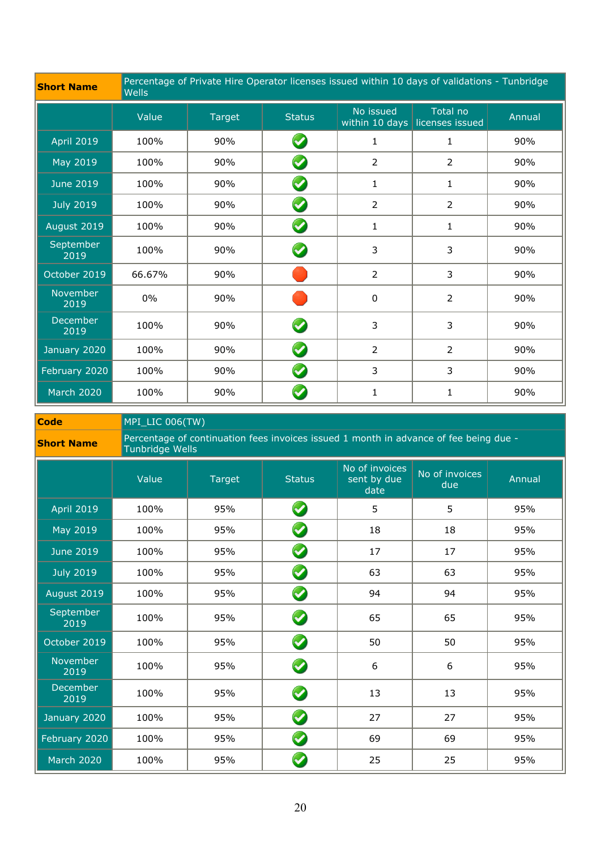| <b>Short Name</b>       | <b>Wells</b> | Percentage of Private Hire Operator licenses issued within 10 days of validations - Tunbridge |                      |                |                                            |        |  |  |
|-------------------------|--------------|-----------------------------------------------------------------------------------------------|----------------------|----------------|--------------------------------------------|--------|--|--|
|                         | Value        | <b>Target</b>                                                                                 | <b>Status</b>        | No issued      | Total no<br>within 10 days licenses issued | Annual |  |  |
| <b>April 2019</b>       | 100%         | 90%                                                                                           | V                    | 1              | 1                                          | 90%    |  |  |
| May 2019                | 100%         | 90%                                                                                           | $\blacktriangledown$ | $\overline{2}$ | $\overline{2}$                             | 90%    |  |  |
| <b>June 2019</b>        | 100%         | 90%                                                                                           | Ø                    | 1              | 1                                          | 90%    |  |  |
| <b>July 2019</b>        | 100%         | 90%                                                                                           | $\blacktriangledown$ | $\overline{2}$ | $\overline{2}$                             | 90%    |  |  |
| August 2019             | 100%         | 90%                                                                                           | $\blacktriangledown$ | 1              | 1                                          | 90%    |  |  |
| September<br>2019       | 100%         | 90%                                                                                           | $\blacktriangledown$ | 3              | 3                                          | 90%    |  |  |
| October 2019            | 66.67%       | 90%                                                                                           |                      | $\overline{2}$ | 3                                          | 90%    |  |  |
| November<br>2019        | 0%           | 90%                                                                                           |                      | 0              | $\overline{2}$                             | 90%    |  |  |
| <b>December</b><br>2019 | 100%         | 90%                                                                                           |                      | 3              | 3                                          | 90%    |  |  |
| January 2020            | 100%         | 90%                                                                                           | $\blacktriangledown$ | $\overline{2}$ | $\overline{2}$                             | 90%    |  |  |
| February 2020           | 100%         | 90%                                                                                           | $\blacktriangledown$ | 3              | 3                                          | 90%    |  |  |
| <b>March 2020</b>       | 100%         | 90%                                                                                           |                      | 1              | 1                                          | 90%    |  |  |

**Code** MPI\_LIC 006(TW)

| <b>Short Name</b> | Percentage of continuation fees invoices issued 1 month in advance of fee being due - |
|-------------------|---------------------------------------------------------------------------------------|
|                   | Tunbridge Wells                                                                       |

|                   | Value | <b>Target</b> | <b>Status</b>        | No of invoices<br>sent by due<br>date | No of invoices<br>due | Annual |
|-------------------|-------|---------------|----------------------|---------------------------------------|-----------------------|--------|
| <b>April 2019</b> | 100%  | 95%           | $\bullet$            | 5                                     | 5                     | 95%    |
| May 2019          | 100%  | 95%           | $\bullet$            | 18                                    | 18                    | 95%    |
| <b>June 2019</b>  | 100%  | 95%           | $\bullet$            | 17                                    | 17                    | 95%    |
| <b>July 2019</b>  | 100%  | 95%           | $\bullet$            | 63                                    | 63                    | 95%    |
| August 2019       | 100%  | 95%           | $\bullet$            | 94                                    | 94                    | 95%    |
| September<br>2019 | 100%  | 95%           | $\bullet$            | 65                                    | 65                    | 95%    |
| October 2019      | 100%  | 95%           | $\bullet$            | 50                                    | 50                    | 95%    |
| November<br>2019  | 100%  | 95%           | $\boldsymbol{O}$     | 6                                     | 6                     | 95%    |
| December<br>2019  | 100%  | 95%           | $\bullet$            | 13                                    | 13                    | 95%    |
| January 2020      | 100%  | 95%           | $\bullet$            | 27                                    | 27                    | 95%    |
| February 2020     | 100%  | 95%           | $\bullet$            | 69                                    | 69                    | 95%    |
| <b>March 2020</b> | 100%  | 95%           | $\blacktriangledown$ | 25                                    | 25                    | 95%    |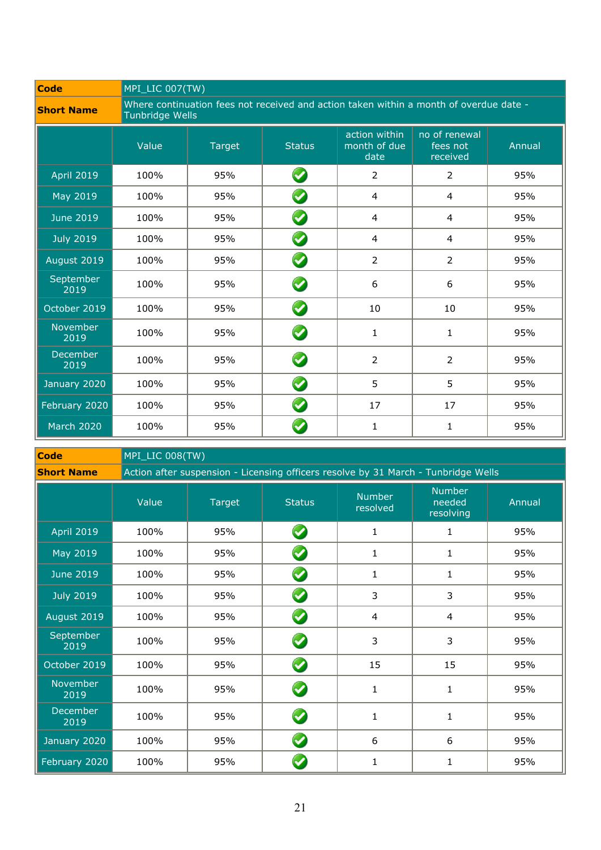| <b>Code</b>       | MPI_LIC 007(TW) |                                                                                                           |                       |                                       |                                       |        |  |
|-------------------|-----------------|-----------------------------------------------------------------------------------------------------------|-----------------------|---------------------------------------|---------------------------------------|--------|--|
| <b>Short Name</b> |                 | Where continuation fees not received and action taken within a month of overdue date -<br>Tunbridge Wells |                       |                                       |                                       |        |  |
|                   | Value           | <b>Target</b>                                                                                             | <b>Status</b>         | action within<br>month of due<br>date | no of renewal<br>fees not<br>received | Annual |  |
| <b>April 2019</b> | 100%            | 95%                                                                                                       | Ø                     | $\overline{2}$                        | 2                                     | 95%    |  |
| May 2019          | 100%            | 95%                                                                                                       | $\bullet$             | 4                                     | $\overline{4}$                        | 95%    |  |
| <b>June 2019</b>  | 100%            | 95%                                                                                                       | $\bullet$             | $\overline{4}$                        | $\overline{4}$                        | 95%    |  |
| <b>July 2019</b>  | 100%            | 95%                                                                                                       | Ø                     | 4                                     | $\overline{4}$                        | 95%    |  |
| August 2019       | 100%            | 95%                                                                                                       | $\bullet$             | $\overline{2}$                        | 2                                     | 95%    |  |
| September<br>2019 | 100%            | 95%                                                                                                       | $\boldsymbol{\omega}$ | 6                                     | 6                                     | 95%    |  |
| October 2019      | 100%            | 95%                                                                                                       | $\bullet$             | 10                                    | 10                                    | 95%    |  |
| November<br>2019  | 100%            | 95%                                                                                                       | $\bullet$             | $\mathbf{1}$                          | $\mathbf{1}$                          | 95%    |  |
| December<br>2019  | 100%            | 95%                                                                                                       | $\bullet$             | $\overline{2}$                        | $\overline{2}$                        | 95%    |  |
| January 2020      | 100%            | 95%                                                                                                       | $\blacktriangledown$  | 5                                     | 5                                     | 95%    |  |
| February 2020     | 100%            | 95%                                                                                                       | $\bullet$             | 17                                    | 17                                    | 95%    |  |
| <b>March 2020</b> | 100%            | 95%                                                                                                       |                       | 1                                     | 1                                     | 95%    |  |

| <b>Code</b>             |       | MPI_LIC 008(TW)                                                                    |                            |                           |                                      |        |  |  |  |
|-------------------------|-------|------------------------------------------------------------------------------------|----------------------------|---------------------------|--------------------------------------|--------|--|--|--|
| <b>Short Name</b>       |       | Action after suspension - Licensing officers resolve by 31 March - Tunbridge Wells |                            |                           |                                      |        |  |  |  |
|                         | Value | <b>Target</b>                                                                      | <b>Status</b>              | <b>Number</b><br>resolved | <b>Number</b><br>needed<br>resolving | Annual |  |  |  |
| <b>April 2019</b>       | 100%  | 95%                                                                                | $\bullet$                  | $\mathbf{1}$              | $\mathbf{1}$                         | 95%    |  |  |  |
| May 2019                | 100%  | 95%                                                                                | $\blacklozenge$            | 1                         | 1                                    | 95%    |  |  |  |
| <b>June 2019</b>        | 100%  | 95%                                                                                | $\boldsymbol{\mathcal{C}}$ | 1                         | 1                                    | 95%    |  |  |  |
| <b>July 2019</b>        | 100%  | 95%                                                                                | $\blacklozenge$            | 3                         | 3                                    | 95%    |  |  |  |
| August 2019             | 100%  | 95%                                                                                | $\bullet$                  | 4                         | $\overline{4}$                       | 95%    |  |  |  |
| September<br>2019       | 100%  | 95%                                                                                | $\boldsymbol{\omega}$      | 3                         | 3                                    | 95%    |  |  |  |
| October 2019            | 100%  | 95%                                                                                | $\bullet$                  | 15                        | 15                                   | 95%    |  |  |  |
| November<br>2019        | 100%  | 95%                                                                                | $\bullet$                  | $\mathbf{1}$              | 1                                    | 95%    |  |  |  |
| <b>December</b><br>2019 | 100%  | 95%                                                                                | $\bullet$                  | 1                         | 1                                    | 95%    |  |  |  |
| January 2020            | 100%  | 95%                                                                                | $\blacktriangledown$       | 6                         | 6                                    | 95%    |  |  |  |
| February 2020           | 100%  | 95%                                                                                | $\blacktriangledown$       | $\mathbf 1$               | $\mathbf{1}$                         | 95%    |  |  |  |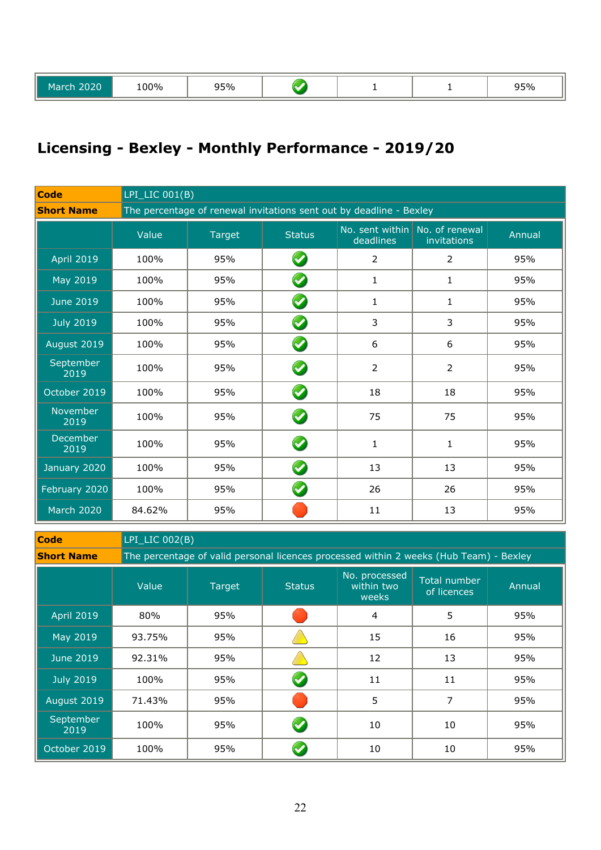| 2020<br>March | LOO%<br>--- - - | 50 <sub>0</sub><br>ں ر<br>. |  |  |  | <b>000</b><br>95% |
|---------------|-----------------|-----------------------------|--|--|--|-------------------|
|---------------|-----------------|-----------------------------|--|--|--|-------------------|

### **Licensing - Bexley - Monthly Performance - 2019/20**

| <b>Code</b>             |        | $LPI_LIC$ 001(B)                                                    |                      |                                             |                |        |  |  |
|-------------------------|--------|---------------------------------------------------------------------|----------------------|---------------------------------------------|----------------|--------|--|--|
| <b>Short Name</b>       |        | The percentage of renewal invitations sent out by deadline - Bexley |                      |                                             |                |        |  |  |
|                         | Value  | Target                                                              | <b>Status</b>        | No. sent within No. of renewal<br>deadlines | invitations    | Annual |  |  |
| <b>April 2019</b>       | 100%   | 95%                                                                 | $\blacktriangledown$ | $\overline{2}$                              | $\overline{2}$ | 95%    |  |  |
| May 2019                | 100%   | 95%                                                                 | $\bullet$            | 1                                           | $\mathbf{1}$   | 95%    |  |  |
| <b>June 2019</b>        | 100%   | 95%                                                                 | Ø                    | $\mathbf{1}$                                | 1              | 95%    |  |  |
| <b>July 2019</b>        | 100%   | 95%                                                                 | $\bullet$            | $\overline{3}$                              | 3              | 95%    |  |  |
| August 2019             | 100%   | 95%                                                                 | $\bullet$            | 6                                           | 6              | 95%    |  |  |
| September<br>2019       | 100%   | 95%                                                                 | $\bullet$            | $\overline{2}$                              | $\overline{2}$ | 95%    |  |  |
| October 2019            | 100%   | 95%                                                                 | $\blacklozenge$      | 18                                          | 18             | 95%    |  |  |
| November<br>2019        | 100%   | 95%                                                                 | $\blacktriangledown$ | 75                                          | 75             | 95%    |  |  |
| <b>December</b><br>2019 | 100%   | 95%                                                                 | $\blacktriangledown$ | $\mathbf{1}$                                | $\mathbf{1}$   | 95%    |  |  |
| January 2020            | 100%   | 95%                                                                 | $\blacktriangledown$ | 13                                          | 13             | 95%    |  |  |
| February 2020           | 100%   | 95%                                                                 | $\blacktriangledown$ | 26                                          | 26             | 95%    |  |  |
| <b>March 2020</b>       | 84.62% | 95%                                                                 |                      | 11                                          | 13             | 95%    |  |  |

**Code** LPI\_LIC 002(B)

**Short Name** The percentage of valid personal licences processed within 2 weeks (Hub Team) - Bexley

|                   | Value  | Target | <b>Status</b> | No. processed<br>within two<br>weeks | Total number<br>of licences | Annual |
|-------------------|--------|--------|---------------|--------------------------------------|-----------------------------|--------|
| <b>April 2019</b> | 80%    | 95%    |               | $\overline{4}$                       | 5                           | 95%    |
| May 2019          | 93.75% | 95%    |               | 15                                   | 16                          | 95%    |
| <b>June 2019</b>  | 92.31% | 95%    |               | 12                                   | 13                          | 95%    |
| <b>July 2019</b>  | 100%   | 95%    | V             | 11                                   | 11                          | 95%    |
| August 2019       | 71.43% | 95%    |               | 5                                    | 7                           | 95%    |
| September<br>2019 | 100%   | 95%    | <b>C</b>      | 10                                   | 10                          | 95%    |
| October 2019      | 100%   | 95%    |               | 10                                   | 10                          | 95%    |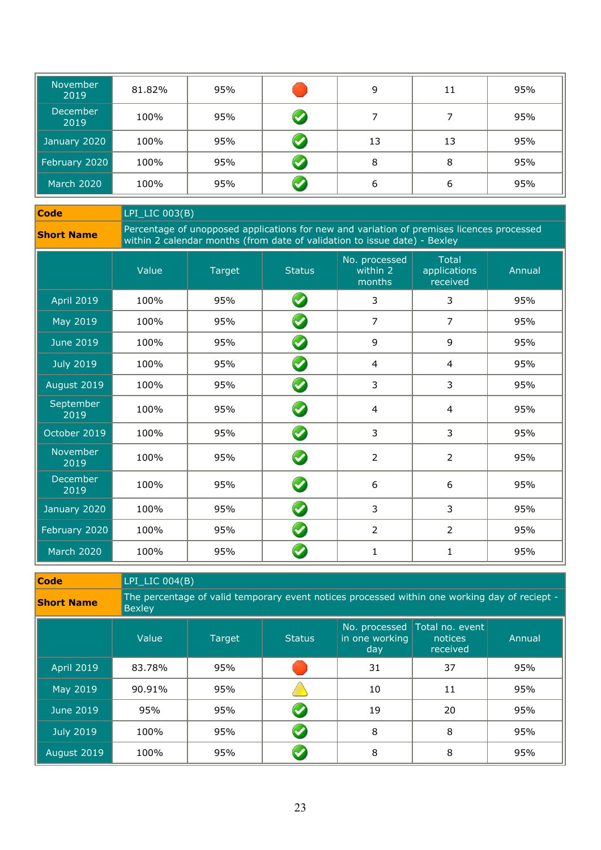| <b>November</b><br>2019 | 81.82% | 95% |          | 9  | 11 | 95% |
|-------------------------|--------|-----|----------|----|----|-----|
| <b>December</b><br>2019 | 100%   | 95% | <b>V</b> |    |    | 95% |
| January 2020            | 100%   | 95% |          | 13 | 13 | 95% |
| February 2020           | 100%   | 95% |          | 8  | 8  | 95% |
| March 2020              | 100%   | 95% |          | 6  | 6  | 95% |

**Code** LPI\_LIC 003(B)

**Short Name** Percentage of unopposed applications for new and variation of premises licences processed<br>within 2 calendar months (from date of validation to issue date) - Bexley

|                          | Value | Target | <b>Status</b>        | No. processed<br>within 2<br>months | <b>Total</b><br>applications<br>received | Annual |
|--------------------------|-------|--------|----------------------|-------------------------------------|------------------------------------------|--------|
| <b>April 2019</b>        | 100%  | 95%    | $\bullet$            | 3                                   | 3                                        | 95%    |
| May 2019                 | 100%  | 95%    | $\blacklozenge$      | $\overline{7}$                      | $\overline{7}$                           | 95%    |
| <b>June 2019</b>         | 100%  | 95%    | $\blacktriangledown$ | 9                                   | 9                                        | 95%    |
| <b>July 2019</b>         | 100%  | 95%    | $\blacktriangledown$ | 4                                   | 4                                        | 95%    |
| August 2019              | 100%  | 95%    | $\blacklozenge$      | $\overline{3}$                      | 3                                        | 95%    |
| <b>September</b><br>2019 | 100%  | 95%    | $\bullet$            | $\overline{4}$                      | $\overline{4}$                           | 95%    |
| October 2019             | 100%  | 95%    | $\bullet$            | 3                                   | 3                                        | 95%    |
| November<br>2019         | 100%  | 95%    | $\bullet$            | $\overline{2}$                      | $\overline{2}$                           | 95%    |
| December<br>2019         | 100%  | 95%    | $\bullet$            | 6                                   | 6                                        | 95%    |
| January 2020             | 100%  | 95%    | $\blacktriangledown$ | 3                                   | 3                                        | 95%    |
| February 2020            | 100%  | 95%    | $\blacktriangledown$ | $\overline{2}$                      | $\overline{2}$                           | 95%    |
| <b>March 2020</b>        | 100%  | 95%    |                      | 1                                   | 1                                        | 95%    |

| Code              |        | LPI LIC $004(B)$                                                                              |               |                       |                                                      |        |  |  |  |
|-------------------|--------|-----------------------------------------------------------------------------------------------|---------------|-----------------------|------------------------------------------------------|--------|--|--|--|
| <b>Short Name</b> | Bexley | The percentage of valid temporary event notices processed within one working day of reciept - |               |                       |                                                      |        |  |  |  |
|                   | Value  | Target                                                                                        | <b>Status</b> | in one working<br>day | No. processed Total no. event<br>notices<br>received | Annual |  |  |  |
| <b>April 2019</b> | 83.78% | 95%                                                                                           |               | 31                    | 37                                                   | 95%    |  |  |  |
| May 2019          | 90.91% | 95%                                                                                           |               | 10                    | 11                                                   | 95%    |  |  |  |
| June 2019         | 95%    | 95%                                                                                           |               | 19                    | 20                                                   | 95%    |  |  |  |
| <b>July 2019</b>  | 100%   | 95%                                                                                           |               | 8                     | 8                                                    | 95%    |  |  |  |
| August 2019       | 100%   | 95%                                                                                           |               | 8                     | 8                                                    | 95%    |  |  |  |